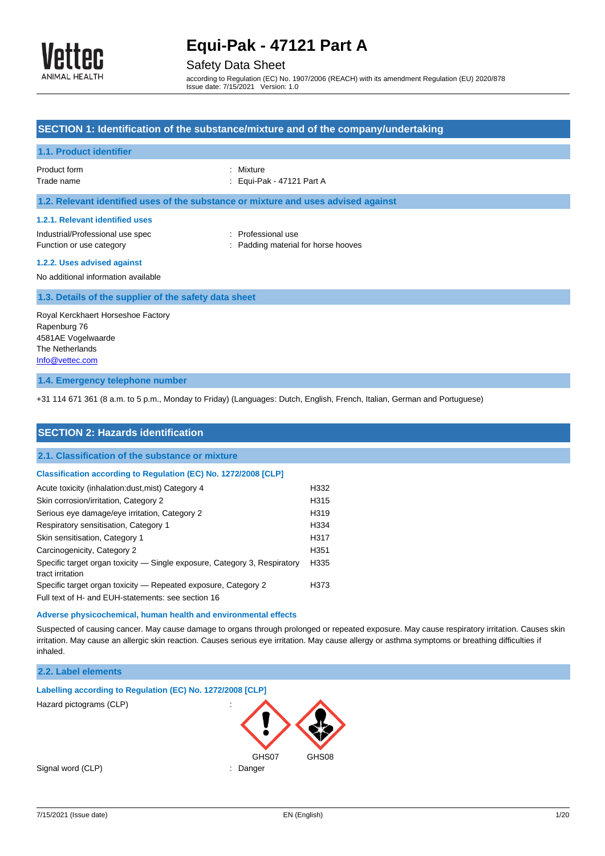

### Safety Data Sheet

according to Regulation (EC) No. 1907/2006 (REACH) with its amendment Regulation (EU) 2020/878 Issue date: 7/15/2021 Version: 1.0

## **SECTION 1: Identification of the substance/mixture and of the company/undertaking 1.1. Product identifier** Product form : Nixture Trade name : Equi-Pak - 47121 Part A **1.2. Relevant identified uses of the substance or mixture and uses advised against 1.2.1. Relevant identified uses** Industrial/Professional use spec : Professional use Function or use category **Example 20** Function or use category **in the state of the state of the S** Function or use  $\mathbb{R}$ **1.2.2. Uses advised against** No additional information available **1.3. Details of the supplier of the safety data sheet** Royal Kerckhaert Horseshoe Factory Rapenburg 76

**1.4. Emergency telephone number**

4581AE Vogelwaarde The Netherlands [Info@vettec.com](mailto:Info@vettec.com)

+31 114 671 361 (8 a.m. to 5 p.m., Monday to Friday) (Languages: Dutch, English, French, Italian, German and Portuguese)

| <b>SECTION 2: Hazards identification</b>                                                      |      |
|-----------------------------------------------------------------------------------------------|------|
| 2.1. Classification of the substance or mixture                                               |      |
| <b>Classification according to Regulation (EC) No. 1272/2008 [CLP]</b>                        |      |
| Acute toxicity (inhalation:dust, mist) Category 4                                             | H332 |
| Skin corrosion/irritation, Category 2                                                         | H315 |
| Serious eye damage/eye irritation, Category 2                                                 | H319 |
| Respiratory sensitisation, Category 1                                                         | H334 |
| Skin sensitisation, Category 1                                                                | H317 |
| Carcinogenicity, Category 2                                                                   | H351 |
| Specific target organ toxicity — Single exposure, Category 3, Respiratory<br>tract irritation | H335 |
| Specific target organ toxicity – Repeated exposure, Category 2                                | H373 |
| Full text of H- and EUH-statements: see section 16                                            |      |

#### **Adverse physicochemical, human health and environmental effects**

Suspected of causing cancer. May cause damage to organs through prolonged or repeated exposure. May cause respiratory irritation. Causes skin irritation. May cause an allergic skin reaction. Causes serious eye irritation. May cause allergy or asthma symptoms or breathing difficulties if inhaled.

### **2.2. Label elements**

| Labelling according to Regulation (EC) No. 1272/2008 [CLP] |                     |       |
|------------------------------------------------------------|---------------------|-------|
| Hazard pictograms (CLP)                                    | ٠<br>$\blacksquare$ |       |
|                                                            | GHS07               | GHS08 |
| Signal word (CLP)                                          | Danger<br>٠         |       |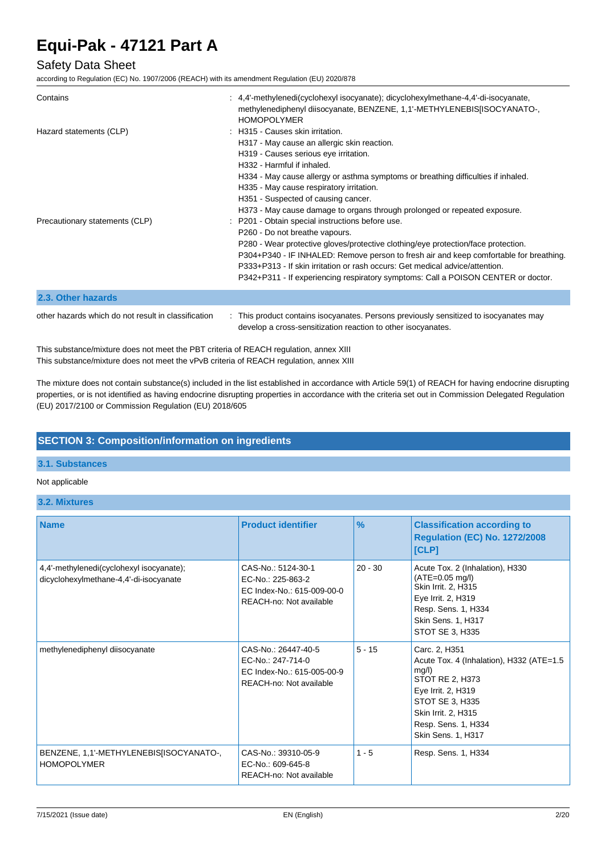### Safety Data Sheet

according to Regulation (EC) No. 1907/2006 (REACH) with its amendment Regulation (EU) 2020/878

| Contains                                            | : 4,4'-methylenedi(cyclohexyl isocyanate); dicyclohexylmethane-4,4'-di-isocyanate,<br>methylenediphenyl diisocyanate, BENZENE, 1,1'-METHYLENEBIS[ISOCYANATO-,<br><b>HOMOPOLYMER</b>                                                                                                                                                                                                                                                    |
|-----------------------------------------------------|----------------------------------------------------------------------------------------------------------------------------------------------------------------------------------------------------------------------------------------------------------------------------------------------------------------------------------------------------------------------------------------------------------------------------------------|
| Hazard statements (CLP)                             | : H315 - Causes skin irritation.<br>H317 - May cause an allergic skin reaction.<br>H319 - Causes serious eye irritation.<br>H332 - Harmful if inhaled.<br>H334 - May cause allergy or asthma symptoms or breathing difficulties if inhaled.<br>H335 - May cause respiratory irritation.<br>H351 - Suspected of causing cancer.<br>H373 - May cause damage to organs through prolonged or repeated exposure.                            |
| Precautionary statements (CLP)                      | : P201 - Obtain special instructions before use.<br>P260 - Do not breathe vapours.<br>P280 - Wear protective gloves/protective clothing/eye protection/face protection.<br>P304+P340 - IF INHALED: Remove person to fresh air and keep comfortable for breathing.<br>P333+P313 - If skin irritation or rash occurs: Get medical advice/attention.<br>P342+P311 - If experiencing respiratory symptoms: Call a POISON CENTER or doctor. |
| 2.3. Other hazards                                  |                                                                                                                                                                                                                                                                                                                                                                                                                                        |
| other hazards which do not result in classification | : This product contains isocyanates. Persons previously sensitized to isocyanates may                                                                                                                                                                                                                                                                                                                                                  |

develop a cross-sensitization reaction to other isocyanates.

This substance/mixture does not meet the PBT criteria of REACH regulation, annex XIII This substance/mixture does not meet the vPvB criteria of REACH regulation, annex XIII

The mixture does not contain substance(s) included in the list established in accordance with Article 59(1) of REACH for having endocrine disrupting properties, or is not identified as having endocrine disrupting properties in accordance with the criteria set out in Commission Delegated Regulation (EU) 2017/2100 or Commission Regulation (EU) 2018/605

### **SECTION 3: Composition/information on ingredients**

### **3.1. Substances**

#### Not applicable

**3.2. Mixtures**

| <b>Name</b>                                                                        | <b>Product identifier</b>                                                                         | $\frac{9}{6}$ | <b>Classification according to</b><br><b>Regulation (EC) No. 1272/2008</b><br>[CLP]                                                                                                                |
|------------------------------------------------------------------------------------|---------------------------------------------------------------------------------------------------|---------------|----------------------------------------------------------------------------------------------------------------------------------------------------------------------------------------------------|
| 4,4'-methylenedi(cyclohexyl isocyanate);<br>dicyclohexylmethane-4,4'-di-isocyanate | CAS-No.: 5124-30-1<br>EC-No.: 225-863-2<br>EC Index-No.: 615-009-00-0<br>REACH-no: Not available  | $20 - 30$     | Acute Tox. 2 (Inhalation), H330<br>$(ATE=0.05 mg/l)$<br>Skin Irrit. 2, H315<br>Eye Irrit. 2, H319<br>Resp. Sens. 1, H334<br>Skin Sens. 1, H317<br>STOT SE 3, H335                                  |
| methylenediphenyl diisocyanate                                                     | CAS-No.: 26447-40-5<br>EC-No.: 247-714-0<br>EC Index-No.: 615-005-00-9<br>REACH-no: Not available | $5 - 15$      | Carc. 2, H351<br>Acute Tox. 4 (Inhalation), H332 (ATE=1.5<br>mg/l)<br>STOT RE 2, H373<br>Eye Irrit. 2, H319<br>STOT SE 3, H335<br>Skin Irrit. 2, H315<br>Resp. Sens. 1, H334<br>Skin Sens. 1, H317 |
| BENZENE, 1,1'-METHYLENEBIS[ISOCYANATO-,<br><b>HOMOPOLYMER</b>                      | CAS-No.: 39310-05-9<br>EC-No.: 609-645-8<br>REACH-no: Not available                               | $1 - 5$       | Resp. Sens. 1, H334                                                                                                                                                                                |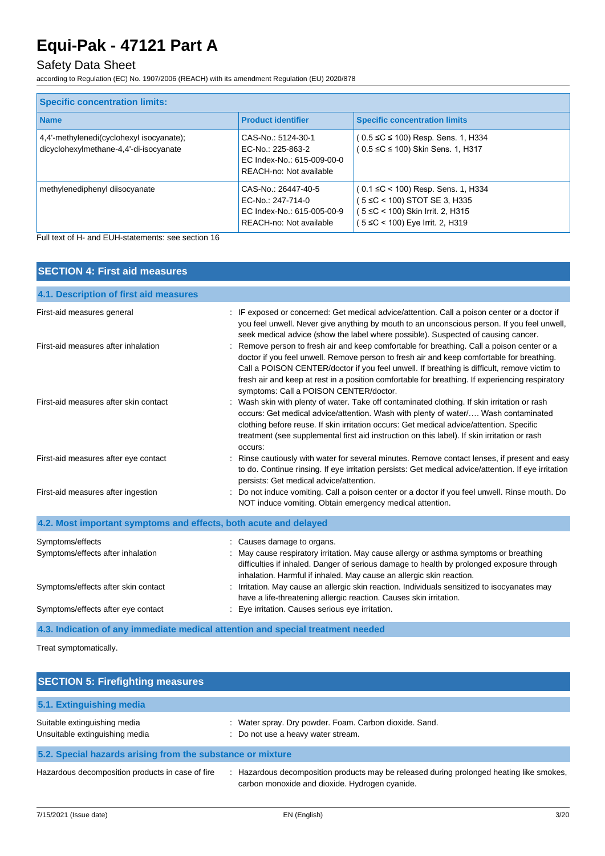## Safety Data Sheet

according to Regulation (EC) No. 1907/2006 (REACH) with its amendment Regulation (EU) 2020/878

| <b>Specific concentration limits:</b>                                              |                                                                                                   |                                                                                                                                           |  |
|------------------------------------------------------------------------------------|---------------------------------------------------------------------------------------------------|-------------------------------------------------------------------------------------------------------------------------------------------|--|
| <b>Name</b>                                                                        | <b>Product identifier</b>                                                                         | <b>Specific concentration limits</b>                                                                                                      |  |
| 4,4'-methylenedi(cyclohexyl isocyanate);<br>dicyclohexylmethane-4,4'-di-isocyanate | CAS-No.: 5124-30-1<br>EC-No.: 225-863-2<br>EC Index-No.: 615-009-00-0<br>REACH-no: Not available  | $(0.5 \leq C \leq 100)$ Resp. Sens. 1, H334<br>$(0.5 \leq C \leq 100)$ Skin Sens. 1, H317                                                 |  |
| methylenediphenyl diisocyanate                                                     | CAS-No.: 26447-40-5<br>EC-No.: 247-714-0<br>EC Index-No.: 615-005-00-9<br>REACH-no: Not available | (0.1 ≤C < 100) Resp. Sens. 1, H334<br>(5 ≤C < 100) STOT SE 3, H335<br>(5 ≤C < 100) Skin Irrit. 2, H315<br>(5 ≤C < 100) Eye Irrit. 2, H319 |  |

Full text of H- and EUH-statements: see section 16

| <b>SECTION 4: First aid measures</b>                             |                                                                                                                                                                                                                                                                                                                                                                                                                                     |  |  |
|------------------------------------------------------------------|-------------------------------------------------------------------------------------------------------------------------------------------------------------------------------------------------------------------------------------------------------------------------------------------------------------------------------------------------------------------------------------------------------------------------------------|--|--|
| 4.1. Description of first aid measures                           |                                                                                                                                                                                                                                                                                                                                                                                                                                     |  |  |
| First-aid measures general                                       | : IF exposed or concerned: Get medical advice/attention. Call a poison center or a doctor if<br>you feel unwell. Never give anything by mouth to an unconscious person. If you feel unwell,<br>seek medical advice (show the label where possible). Suspected of causing cancer.                                                                                                                                                    |  |  |
| First-aid measures after inhalation                              | : Remove person to fresh air and keep comfortable for breathing. Call a poison center or a<br>doctor if you feel unwell. Remove person to fresh air and keep comfortable for breathing.<br>Call a POISON CENTER/doctor if you feel unwell. If breathing is difficult, remove victim to<br>fresh air and keep at rest in a position comfortable for breathing. If experiencing respiratory<br>symptoms: Call a POISON CENTER/doctor. |  |  |
| First-aid measures after skin contact                            | : Wash skin with plenty of water. Take off contaminated clothing. If skin irritation or rash<br>occurs: Get medical advice/attention. Wash with plenty of water/ Wash contaminated<br>clothing before reuse. If skin irritation occurs: Get medical advice/attention. Specific<br>treatment (see supplemental first aid instruction on this label). If skin irritation or rash<br>occurs:                                           |  |  |
| First-aid measures after eye contact                             | Rinse cautiously with water for several minutes. Remove contact lenses, if present and easy<br>to do. Continue rinsing. If eye irritation persists: Get medical advice/attention. If eye irritation<br>persists: Get medical advice/attention.                                                                                                                                                                                      |  |  |
| First-aid measures after ingestion                               | Do not induce vomiting. Call a poison center or a doctor if you feel unwell. Rinse mouth. Do<br>NOT induce vomiting. Obtain emergency medical attention.                                                                                                                                                                                                                                                                            |  |  |
| 4.2. Most important symptoms and effects, both acute and delayed |                                                                                                                                                                                                                                                                                                                                                                                                                                     |  |  |
| Symptoms/effects<br>Symptoms/effects after inhalation            | : Causes damage to organs.<br>: May cause respiratory irritation. May cause allergy or asthma symptoms or breathing<br>difficulties if inhaled. Danger of serious damage to health by prolonged exposure through<br>inhalation. Harmful if inhaled. May cause an allergic skin reaction.                                                                                                                                            |  |  |
| Symptoms/effects after skin contact                              | : Irritation. May cause an allergic skin reaction. Individuals sensitized to isocyanates may<br>have a life-threatening allergic reaction. Causes skin irritation.                                                                                                                                                                                                                                                                  |  |  |
| Symptoms/effects after eye contact                               | : Eye irritation. Causes serious eye irritation.                                                                                                                                                                                                                                                                                                                                                                                    |  |  |
|                                                                  | 4.3. Indication of any immediate medical attention and special treatment needed                                                                                                                                                                                                                                                                                                                                                     |  |  |

Treat symptomatically.

| <b>SECTION 5: Firefighting measures</b>                        |                                                                                                                                          |  |
|----------------------------------------------------------------|------------------------------------------------------------------------------------------------------------------------------------------|--|
| 5.1. Extinguishing media                                       |                                                                                                                                          |  |
| Suitable extinguishing media<br>Unsuitable extinguishing media | : Water spray. Dry powder. Foam. Carbon dioxide. Sand.<br>: Do not use a heavy water stream.                                             |  |
| 5.2. Special hazards arising from the substance or mixture     |                                                                                                                                          |  |
| Hazardous decomposition products in case of fire               | Hazardous decomposition products may be released during prolonged heating like smokes,<br>carbon monoxide and dioxide. Hydrogen cyanide. |  |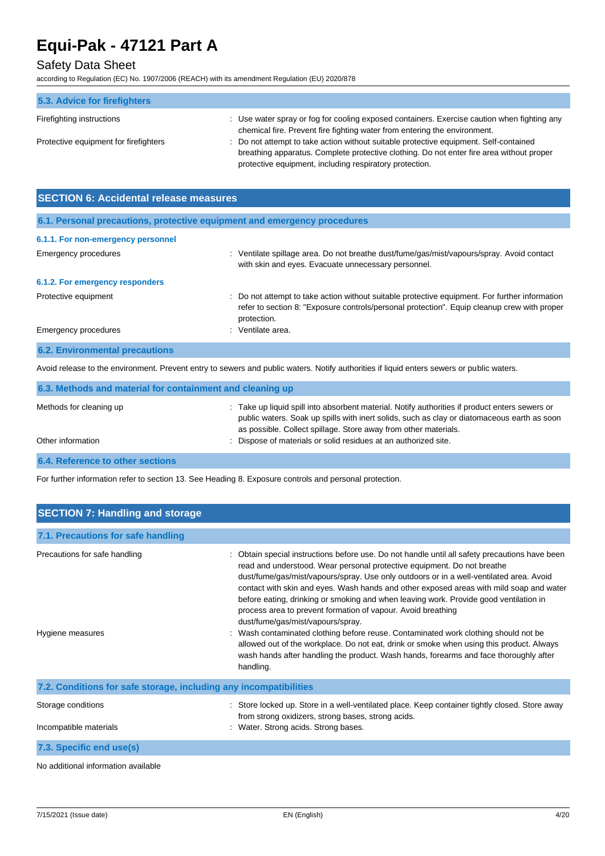## Safety Data Sheet

according to Regulation (EC) No. 1907/2006 (REACH) with its amendment Regulation (EU) 2020/878

| 5.3. Advice for firefighters          |                                                                                                                                                                                                                                              |
|---------------------------------------|----------------------------------------------------------------------------------------------------------------------------------------------------------------------------------------------------------------------------------------------|
| Firefighting instructions             | : Use water spray or fog for cooling exposed containers. Exercise caution when fighting any<br>chemical fire. Prevent fire fighting water from entering the environment.                                                                     |
| Protective equipment for firefighters | : Do not attempt to take action without suitable protective equipment. Self-contained<br>breathing apparatus. Complete protective clothing. Do not enter fire area without proper<br>protective equipment, including respiratory protection. |

| <b>SECTION 6: Accidental release measures</b>                            |                                                                                                                                                                                                              |  |
|--------------------------------------------------------------------------|--------------------------------------------------------------------------------------------------------------------------------------------------------------------------------------------------------------|--|
| 6.1. Personal precautions, protective equipment and emergency procedures |                                                                                                                                                                                                              |  |
| 6.1.1. For non-emergency personnel                                       |                                                                                                                                                                                                              |  |
| Emergency procedures                                                     | Ventilate spillage area. Do not breathe dust/fume/gas/mist/vapours/spray. Avoid contact<br>t.<br>with skin and eyes. Evacuate unnecessary personnel.                                                         |  |
| 6.1.2. For emergency responders                                          |                                                                                                                                                                                                              |  |
| Protective equipment                                                     | : Do not attempt to take action without suitable protective equipment. For further information<br>refer to section 8: "Exposure controls/personal protection". Equip cleanup crew with proper<br>protection. |  |
| Emergency procedures                                                     | : Ventilate area.                                                                                                                                                                                            |  |
| <b>6.2. Environmental precautions</b>                                    |                                                                                                                                                                                                              |  |

Avoid release to the environment. Prevent entry to sewers and public waters. Notify authorities if liquid enters sewers or public waters.

| 6.3. Methods and material for containment and cleaning up |                                                                                                                                                                                                                                                                  |  |
|-----------------------------------------------------------|------------------------------------------------------------------------------------------------------------------------------------------------------------------------------------------------------------------------------------------------------------------|--|
| Methods for cleaning up                                   | : Take up liquid spill into absorbent material. Notify authorities if product enters sewers or<br>public waters. Soak up spills with inert solids, such as clay or diatomaceous earth as soon<br>as possible. Collect spillage. Store away from other materials. |  |
| Other information                                         | : Dispose of materials or solid residues at an authorized site.                                                                                                                                                                                                  |  |
| 6.4. Reference to other sections                          |                                                                                                                                                                                                                                                                  |  |

For further information refer to section 13. See Heading 8. Exposure controls and personal protection.

| <b>SECTION 7: Handling and storage</b>                            |                                                                                                                                                                                                                                                                                                                                                                                                                                                                                                                                                                                                                                                                                                                                                                                                                                                      |  |  |  |
|-------------------------------------------------------------------|------------------------------------------------------------------------------------------------------------------------------------------------------------------------------------------------------------------------------------------------------------------------------------------------------------------------------------------------------------------------------------------------------------------------------------------------------------------------------------------------------------------------------------------------------------------------------------------------------------------------------------------------------------------------------------------------------------------------------------------------------------------------------------------------------------------------------------------------------|--|--|--|
| 7.1. Precautions for safe handling                                |                                                                                                                                                                                                                                                                                                                                                                                                                                                                                                                                                                                                                                                                                                                                                                                                                                                      |  |  |  |
| Precautions for safe handling<br>Hygiene measures                 | Obtain special instructions before use. Do not handle until all safety precautions have been<br>read and understood. Wear personal protective equipment. Do not breathe<br>dust/fume/gas/mist/vapours/spray. Use only outdoors or in a well-ventilated area. Avoid<br>contact with skin and eyes. Wash hands and other exposed areas with mild soap and water<br>before eating, drinking or smoking and when leaving work. Provide good ventilation in<br>process area to prevent formation of vapour. Avoid breathing<br>dust/fume/gas/mist/vapours/spray.<br>: Wash contaminated clothing before reuse. Contaminated work clothing should not be<br>allowed out of the workplace. Do not eat, drink or smoke when using this product. Always<br>wash hands after handling the product. Wash hands, forearms and face thoroughly after<br>handling. |  |  |  |
| 7.2. Conditions for safe storage, including any incompatibilities |                                                                                                                                                                                                                                                                                                                                                                                                                                                                                                                                                                                                                                                                                                                                                                                                                                                      |  |  |  |
| Storage conditions<br>Incompatible materials                      | : Store locked up. Store in a well-ventilated place. Keep container tightly closed. Store away<br>from strong oxidizers, strong bases, strong acids.<br>: Water. Strong acids. Strong bases.                                                                                                                                                                                                                                                                                                                                                                                                                                                                                                                                                                                                                                                         |  |  |  |
| 7.3. Specific end use(s)                                          |                                                                                                                                                                                                                                                                                                                                                                                                                                                                                                                                                                                                                                                                                                                                                                                                                                                      |  |  |  |
| No additional information available                               |                                                                                                                                                                                                                                                                                                                                                                                                                                                                                                                                                                                                                                                                                                                                                                                                                                                      |  |  |  |

7/15/2021 (Issue date) EN (English) 4/20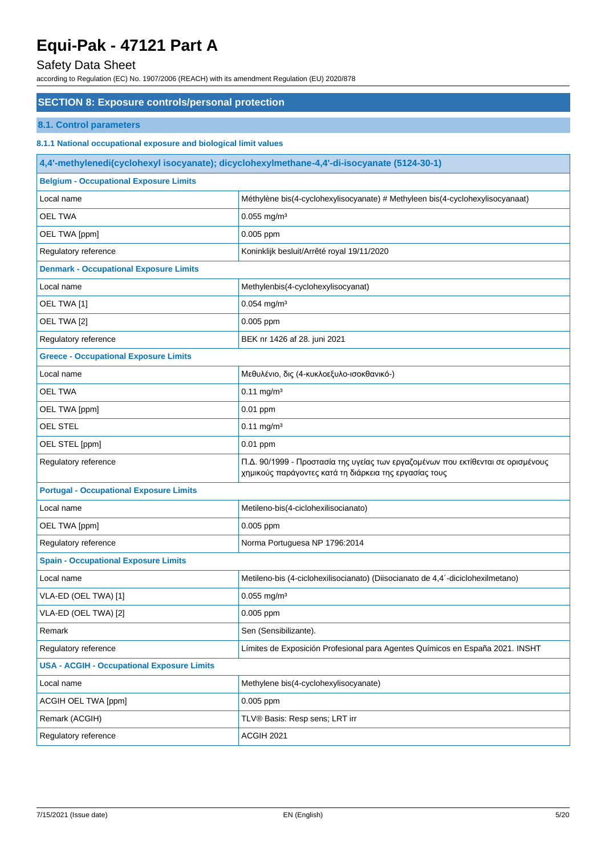### Safety Data Sheet

according to Regulation (EC) No. 1907/2006 (REACH) with its amendment Regulation (EU) 2020/878

### **SECTION 8: Exposure controls/personal protection**

### **8.1. Control parameters**

### **8.1.1 National occupational exposure and biological limit values**

| 4,4'-methylenedi(cyclohexyl isocyanate); dicyclohexylmethane-4,4'-di-isocyanate (5124-30-1) |                                                                                                                                            |  |
|---------------------------------------------------------------------------------------------|--------------------------------------------------------------------------------------------------------------------------------------------|--|
| <b>Belgium - Occupational Exposure Limits</b>                                               |                                                                                                                                            |  |
| Local name                                                                                  | Méthylène bis(4-cyclohexylisocyanate) # Methyleen bis(4-cyclohexylisocyanaat)                                                              |  |
| <b>OEL TWA</b>                                                                              | $0.055$ mg/m <sup>3</sup>                                                                                                                  |  |
| OEL TWA [ppm]                                                                               | 0.005 ppm                                                                                                                                  |  |
| Regulatory reference                                                                        | Koninklijk besluit/Arrêté royal 19/11/2020                                                                                                 |  |
| <b>Denmark - Occupational Exposure Limits</b>                                               |                                                                                                                                            |  |
| Local name                                                                                  | Methylenbis(4-cyclohexylisocyanat)                                                                                                         |  |
| OEL TWA [1]                                                                                 | $0.054$ mg/m <sup>3</sup>                                                                                                                  |  |
| OEL TWA [2]                                                                                 | 0.005 ppm                                                                                                                                  |  |
| Regulatory reference                                                                        | BEK nr 1426 af 28. juni 2021                                                                                                               |  |
| <b>Greece - Occupational Exposure Limits</b>                                                |                                                                                                                                            |  |
| Local name                                                                                  | Μεθυλένιο, δις (4-κυκλοεξυλο-ισοκθανικό-)                                                                                                  |  |
| <b>OEL TWA</b>                                                                              | $0.11$ mg/m <sup>3</sup>                                                                                                                   |  |
| OEL TWA [ppm]                                                                               | $0.01$ ppm                                                                                                                                 |  |
| <b>OEL STEL</b>                                                                             | $0.11$ mg/m <sup>3</sup>                                                                                                                   |  |
| OEL STEL [ppm]                                                                              | 0.01 ppm                                                                                                                                   |  |
| Regulatory reference                                                                        | Π.Δ. 90/1999 - Προστασία της υγείας των εργαζομένων που εκτίθενται σε ορισμένους<br>χημικούς παράγοντες κατά τη διάρκεια της εργασίας τους |  |
| <b>Portugal - Occupational Exposure Limits</b>                                              |                                                                                                                                            |  |
| Local name                                                                                  | Metileno-bis(4-ciclohexilisocianato)                                                                                                       |  |
| OEL TWA [ppm]                                                                               | 0.005 ppm                                                                                                                                  |  |
| Regulatory reference                                                                        | Norma Portuguesa NP 1796:2014                                                                                                              |  |
| <b>Spain - Occupational Exposure Limits</b>                                                 |                                                                                                                                            |  |
| Local name                                                                                  | Metileno-bis (4-ciclohexilisocianato) (Diisocianato de 4,4'-diciclohexilmetano)                                                            |  |
| VLA-ED (OEL TWA) [1]                                                                        | $0.055$ mg/m <sup>3</sup>                                                                                                                  |  |
| VLA-ED (OEL TWA) [2]                                                                        | $0.005$ ppm                                                                                                                                |  |
| Remark                                                                                      | Sen (Sensibilizante).                                                                                                                      |  |
| Regulatory reference                                                                        | Límites de Exposición Profesional para Agentes Químicos en España 2021. INSHT                                                              |  |
| <b>USA - ACGIH - Occupational Exposure Limits</b>                                           |                                                                                                                                            |  |
| Local name                                                                                  | Methylene bis(4-cyclohexylisocyanate)                                                                                                      |  |
| ACGIH OEL TWA [ppm]                                                                         | $0.005$ ppm                                                                                                                                |  |
| Remark (ACGIH)                                                                              | TLV® Basis: Resp sens; LRT irr                                                                                                             |  |
| Regulatory reference                                                                        | ACGIH 2021                                                                                                                                 |  |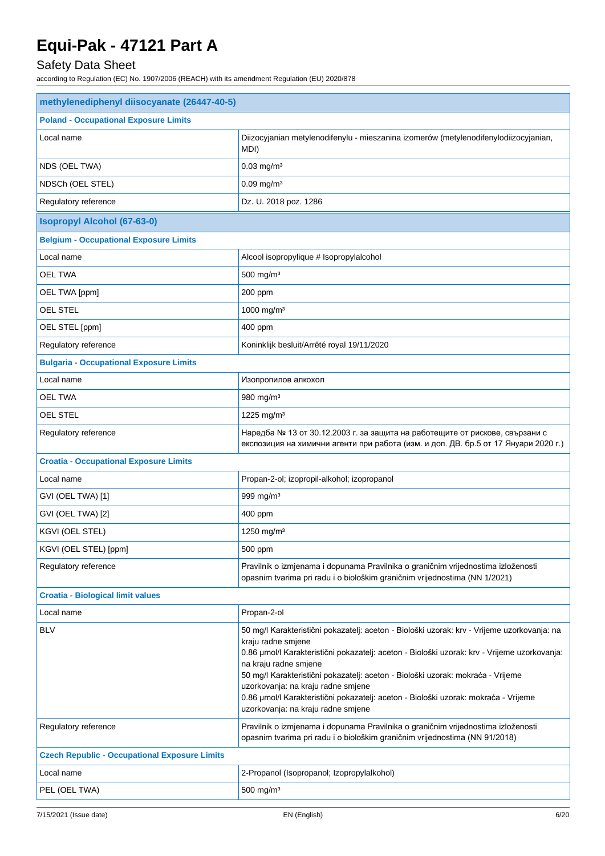## Safety Data Sheet

| methylenediphenyl diisocyanate (26447-40-5)          |                                                                                                                                                                                                                                                                                                                                                                                                                                                                                                  |  |
|------------------------------------------------------|--------------------------------------------------------------------------------------------------------------------------------------------------------------------------------------------------------------------------------------------------------------------------------------------------------------------------------------------------------------------------------------------------------------------------------------------------------------------------------------------------|--|
| <b>Poland - Occupational Exposure Limits</b>         |                                                                                                                                                                                                                                                                                                                                                                                                                                                                                                  |  |
| Local name                                           | Diizocyjanian metylenodifenylu - mieszanina izomerów (metylenodifenylodiizocyjanian,<br>MDI)                                                                                                                                                                                                                                                                                                                                                                                                     |  |
| NDS (OEL TWA)                                        | $0.03$ mg/m <sup>3</sup>                                                                                                                                                                                                                                                                                                                                                                                                                                                                         |  |
| NDSCh (OEL STEL)                                     | $0.09$ mg/m <sup>3</sup>                                                                                                                                                                                                                                                                                                                                                                                                                                                                         |  |
| Regulatory reference                                 | Dz. U. 2018 poz. 1286                                                                                                                                                                                                                                                                                                                                                                                                                                                                            |  |
| <b>Isopropyl Alcohol (67-63-0)</b>                   |                                                                                                                                                                                                                                                                                                                                                                                                                                                                                                  |  |
| <b>Belgium - Occupational Exposure Limits</b>        |                                                                                                                                                                                                                                                                                                                                                                                                                                                                                                  |  |
| Local name                                           | Alcool isopropylique # Isopropylalcohol                                                                                                                                                                                                                                                                                                                                                                                                                                                          |  |
| <b>OEL TWA</b>                                       | 500 mg/m <sup>3</sup>                                                                                                                                                                                                                                                                                                                                                                                                                                                                            |  |
| OEL TWA [ppm]                                        | 200 ppm                                                                                                                                                                                                                                                                                                                                                                                                                                                                                          |  |
| <b>OEL STEL</b>                                      | 1000 mg/m <sup>3</sup>                                                                                                                                                                                                                                                                                                                                                                                                                                                                           |  |
| OEL STEL [ppm]                                       | 400 ppm                                                                                                                                                                                                                                                                                                                                                                                                                                                                                          |  |
| Regulatory reference                                 | Koninklijk besluit/Arrêté royal 19/11/2020                                                                                                                                                                                                                                                                                                                                                                                                                                                       |  |
| <b>Bulgaria - Occupational Exposure Limits</b>       |                                                                                                                                                                                                                                                                                                                                                                                                                                                                                                  |  |
| Local name                                           | Изопропилов алкохол                                                                                                                                                                                                                                                                                                                                                                                                                                                                              |  |
| <b>OEL TWA</b>                                       | 980 mg/m <sup>3</sup>                                                                                                                                                                                                                                                                                                                                                                                                                                                                            |  |
| OEL STEL                                             | 1225 mg/m <sup>3</sup>                                                                                                                                                                                                                                                                                                                                                                                                                                                                           |  |
| Regulatory reference                                 | Наредба № 13 от 30.12.2003 г. за защита на работещите от рискове, свързани с<br>експозиция на химични агенти при работа (изм. и доп. ДВ. бр.5 от 17 Януари 2020 г.)                                                                                                                                                                                                                                                                                                                              |  |
| <b>Croatia - Occupational Exposure Limits</b>        |                                                                                                                                                                                                                                                                                                                                                                                                                                                                                                  |  |
| Local name                                           | Propan-2-ol; izopropil-alkohol; izopropanol                                                                                                                                                                                                                                                                                                                                                                                                                                                      |  |
| GVI (OEL TWA) [1]                                    | 999 mg/m <sup>3</sup>                                                                                                                                                                                                                                                                                                                                                                                                                                                                            |  |
| GVI (OEL TWA) [2]                                    | 400 ppm                                                                                                                                                                                                                                                                                                                                                                                                                                                                                          |  |
| KGVI (OEL STEL)                                      | 1250 mg/m <sup>3</sup>                                                                                                                                                                                                                                                                                                                                                                                                                                                                           |  |
| KGVI (OEL STEL) [ppm]                                | 500 ppm                                                                                                                                                                                                                                                                                                                                                                                                                                                                                          |  |
| Regulatory reference                                 | Pravilnik o izmjenama i dopunama Pravilnika o graničnim vrijednostima izloženosti<br>opasnim tvarima pri radu i o biološkim graničnim vrijednostima (NN 1/2021)                                                                                                                                                                                                                                                                                                                                  |  |
| <b>Croatia - Biological limit values</b>             |                                                                                                                                                                                                                                                                                                                                                                                                                                                                                                  |  |
| Local name                                           | Propan-2-ol                                                                                                                                                                                                                                                                                                                                                                                                                                                                                      |  |
| <b>BLV</b>                                           | 50 mg/l Karakteristični pokazatelj: aceton - Biološki uzorak: krv - Vrijeme uzorkovanja: na<br>kraju radne smjene<br>0.86 µmol/l Karakteristični pokazatelj: aceton - Biološki uzorak: krv - Vrijeme uzorkovanja:<br>na kraju radne smjene<br>50 mg/l Karakteristični pokazatelj: aceton - Biološki uzorak: mokraća - Vrijeme<br>uzorkovanja: na kraju radne smjene<br>0.86 µmol/l Karakteristični pokazatelj: aceton - Biološki uzorak: mokraća - Vrijeme<br>uzorkovanja: na kraju radne smjene |  |
| Regulatory reference                                 | Pravilnik o izmjenama i dopunama Pravilnika o graničnim vrijednostima izloženosti<br>opasnim tvarima pri radu i o biološkim graničnim vrijednostima (NN 91/2018)                                                                                                                                                                                                                                                                                                                                 |  |
| <b>Czech Republic - Occupational Exposure Limits</b> |                                                                                                                                                                                                                                                                                                                                                                                                                                                                                                  |  |
| Local name                                           | 2-Propanol (Isopropanol; Izopropylalkohol)                                                                                                                                                                                                                                                                                                                                                                                                                                                       |  |
| PEL (OEL TWA)                                        | $500$ mg/m <sup>3</sup>                                                                                                                                                                                                                                                                                                                                                                                                                                                                          |  |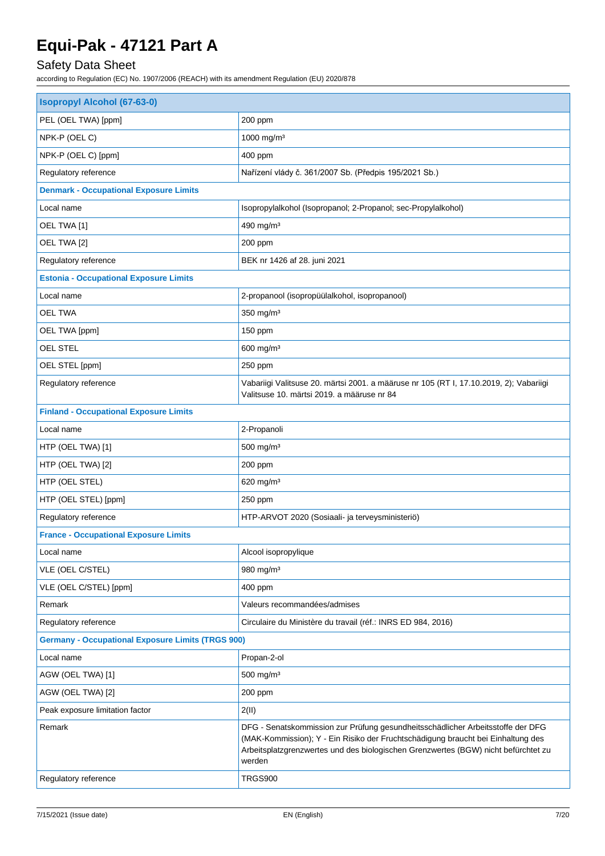## Safety Data Sheet

| <b>Isopropyl Alcohol (67-63-0)</b>                       |                                                                                                                                                                                                                                                                     |  |
|----------------------------------------------------------|---------------------------------------------------------------------------------------------------------------------------------------------------------------------------------------------------------------------------------------------------------------------|--|
| PEL (OEL TWA) [ppm]                                      | 200 ppm                                                                                                                                                                                                                                                             |  |
| NPK-P (OEL C)                                            | 1000 mg/m <sup>3</sup>                                                                                                                                                                                                                                              |  |
| NPK-P (OEL C) [ppm]                                      | 400 ppm                                                                                                                                                                                                                                                             |  |
| Regulatory reference                                     | Nařízení vlády č. 361/2007 Sb. (Předpis 195/2021 Sb.)                                                                                                                                                                                                               |  |
| <b>Denmark - Occupational Exposure Limits</b>            |                                                                                                                                                                                                                                                                     |  |
| Local name                                               | Isopropylalkohol (Isopropanol; 2-Propanol; sec-Propylalkohol)                                                                                                                                                                                                       |  |
| OEL TWA [1]                                              | 490 mg/m <sup>3</sup>                                                                                                                                                                                                                                               |  |
| OEL TWA [2]                                              | 200 ppm                                                                                                                                                                                                                                                             |  |
| Regulatory reference                                     | BEK nr 1426 af 28. juni 2021                                                                                                                                                                                                                                        |  |
| <b>Estonia - Occupational Exposure Limits</b>            |                                                                                                                                                                                                                                                                     |  |
| Local name                                               | 2-propanool (isopropüülalkohol, isopropanool)                                                                                                                                                                                                                       |  |
| <b>OEL TWA</b>                                           | 350 mg/m <sup>3</sup>                                                                                                                                                                                                                                               |  |
| OEL TWA [ppm]                                            | 150 ppm                                                                                                                                                                                                                                                             |  |
| OEL STEL                                                 | 600 mg/m <sup>3</sup>                                                                                                                                                                                                                                               |  |
| OEL STEL [ppm]                                           | 250 ppm                                                                                                                                                                                                                                                             |  |
| Regulatory reference                                     | Vabariigi Valitsuse 20. märtsi 2001. a määruse nr 105 (RT I, 17.10.2019, 2); Vabariigi<br>Valitsuse 10. märtsi 2019. a määruse nr 84                                                                                                                                |  |
| <b>Finland - Occupational Exposure Limits</b>            |                                                                                                                                                                                                                                                                     |  |
| Local name                                               | 2-Propanoli                                                                                                                                                                                                                                                         |  |
| HTP (OEL TWA) [1]                                        | $500$ mg/m <sup>3</sup>                                                                                                                                                                                                                                             |  |
| HTP (OEL TWA) [2]                                        | 200 ppm                                                                                                                                                                                                                                                             |  |
| HTP (OEL STEL)                                           | 620 mg/m $3$                                                                                                                                                                                                                                                        |  |
| HTP (OEL STEL) [ppm]                                     | 250 ppm                                                                                                                                                                                                                                                             |  |
| Regulatory reference                                     | HTP-ARVOT 2020 (Sosiaali- ja terveysministeriö)                                                                                                                                                                                                                     |  |
| <b>France - Occupational Exposure Limits</b>             |                                                                                                                                                                                                                                                                     |  |
| Local name                                               | Alcool isopropylique                                                                                                                                                                                                                                                |  |
| VLE (OEL C/STEL)                                         | 980 mg/m <sup>3</sup>                                                                                                                                                                                                                                               |  |
| VLE (OEL C/STEL) [ppm]                                   | 400 ppm                                                                                                                                                                                                                                                             |  |
| Remark                                                   | Valeurs recommandées/admises                                                                                                                                                                                                                                        |  |
| Regulatory reference                                     | Circulaire du Ministère du travail (réf.: INRS ED 984, 2016)                                                                                                                                                                                                        |  |
| <b>Germany - Occupational Exposure Limits (TRGS 900)</b> |                                                                                                                                                                                                                                                                     |  |
| Local name                                               | Propan-2-ol                                                                                                                                                                                                                                                         |  |
| AGW (OEL TWA) [1]                                        | $500$ mg/m <sup>3</sup>                                                                                                                                                                                                                                             |  |
| AGW (OEL TWA) [2]                                        | 200 ppm                                                                                                                                                                                                                                                             |  |
| Peak exposure limitation factor                          | 2(II)                                                                                                                                                                                                                                                               |  |
| Remark                                                   | DFG - Senatskommission zur Prüfung gesundheitsschädlicher Arbeitsstoffe der DFG<br>(MAK-Kommission); Y - Ein Risiko der Fruchtschädigung braucht bei Einhaltung des<br>Arbeitsplatzgrenzwertes und des biologischen Grenzwertes (BGW) nicht befürchtet zu<br>werden |  |
| Regulatory reference                                     | <b>TRGS900</b>                                                                                                                                                                                                                                                      |  |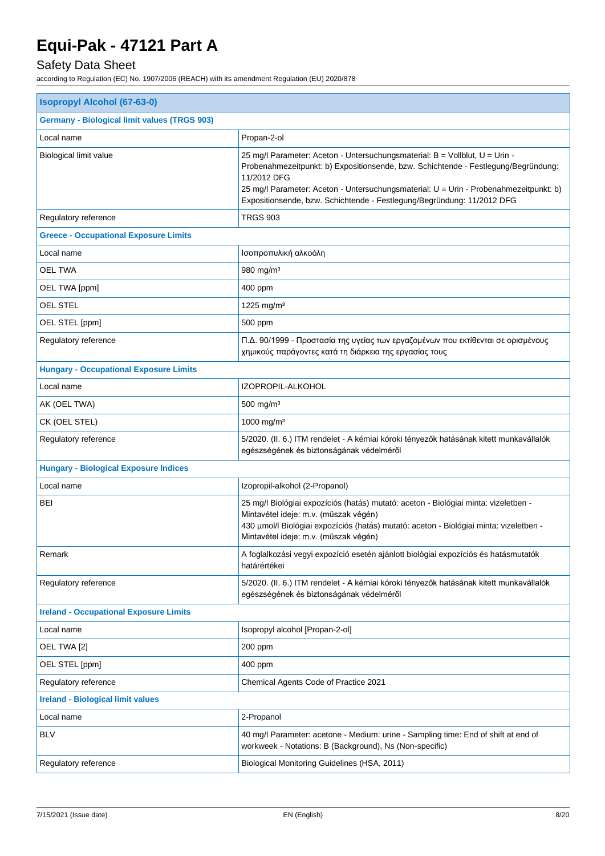## Safety Data Sheet

| <b>Isopropyl Alcohol (67-63-0)</b>                  |                                                                                                                                                                                                                                                                                                                                                     |  |
|-----------------------------------------------------|-----------------------------------------------------------------------------------------------------------------------------------------------------------------------------------------------------------------------------------------------------------------------------------------------------------------------------------------------------|--|
| <b>Germany - Biological limit values (TRGS 903)</b> |                                                                                                                                                                                                                                                                                                                                                     |  |
| Local name                                          | Propan-2-ol                                                                                                                                                                                                                                                                                                                                         |  |
| Biological limit value                              | 25 mg/l Parameter: Aceton - Untersuchungsmaterial: B = Vollblut, U = Urin -<br>Probenahmezeitpunkt: b) Expositionsende, bzw. Schichtende - Festlegung/Begründung:<br>11/2012 DFG<br>25 mg/l Parameter: Aceton - Untersuchungsmaterial: U = Urin - Probenahmezeitpunkt: b)<br>Expositionsende, bzw. Schichtende - Festlegung/Begründung: 11/2012 DFG |  |
| Regulatory reference                                | <b>TRGS 903</b>                                                                                                                                                                                                                                                                                                                                     |  |
| <b>Greece - Occupational Exposure Limits</b>        |                                                                                                                                                                                                                                                                                                                                                     |  |
| Local name                                          | Ισοπροπυλική αλκοόλη                                                                                                                                                                                                                                                                                                                                |  |
| OEL TWA                                             | 980 mg/m <sup>3</sup>                                                                                                                                                                                                                                                                                                                               |  |
| OEL TWA [ppm]                                       | 400 ppm                                                                                                                                                                                                                                                                                                                                             |  |
| <b>OEL STEL</b>                                     | 1225 mg/m <sup>3</sup>                                                                                                                                                                                                                                                                                                                              |  |
| OEL STEL [ppm]                                      | 500 ppm                                                                                                                                                                                                                                                                                                                                             |  |
| Regulatory reference                                | Π.Δ. 90/1999 - Προστασία της υγείας των εργαζομένων που εκτίθενται σε ορισμένους<br>χημικούς παράγοντες κατά τη διάρκεια της εργασίας τους                                                                                                                                                                                                          |  |
| <b>Hungary - Occupational Exposure Limits</b>       |                                                                                                                                                                                                                                                                                                                                                     |  |
| Local name                                          | IZOPROPIL-ALKOHOL                                                                                                                                                                                                                                                                                                                                   |  |
| AK (OEL TWA)                                        | $500$ mg/m <sup>3</sup>                                                                                                                                                                                                                                                                                                                             |  |
| CK (OEL STEL)                                       | 1000 mg/m <sup>3</sup>                                                                                                                                                                                                                                                                                                                              |  |
| Regulatory reference                                | 5/2020. (II. 6.) ITM rendelet - A kémiai kóroki tényezők hatásának kitett munkavállalók<br>egészségének és biztonságának védelméről                                                                                                                                                                                                                 |  |
| <b>Hungary - Biological Exposure Indices</b>        |                                                                                                                                                                                                                                                                                                                                                     |  |
| Local name                                          | Izopropil-alkohol (2-Propanol)                                                                                                                                                                                                                                                                                                                      |  |
| <b>BEI</b>                                          | 25 mg/l Biológiai expozíciós (hatás) mutató: aceton - Biológiai minta: vizeletben -<br>Mintavétel ideje: m.v. (műszak végén)<br>430 µmol/l Biológiai expozíciós (hatás) mutató: aceton - Biológiai minta: vizeletben -<br>Mintavétel ideje: m.v. (műszak végén)                                                                                     |  |
| Remark                                              | A foglalkozási vegyi expozíció esetén ajánlott biológiai expozíciós és hatásmutatók<br>határértékei                                                                                                                                                                                                                                                 |  |
| Regulatory reference                                | 5/2020. (II. 6.) ITM rendelet - A kémiai kóroki tényezők hatásának kitett munkavállalók<br>egészségének és biztonságának védelméről                                                                                                                                                                                                                 |  |
| <b>Ireland - Occupational Exposure Limits</b>       |                                                                                                                                                                                                                                                                                                                                                     |  |
| Local name                                          | Isopropyl alcohol [Propan-2-ol]                                                                                                                                                                                                                                                                                                                     |  |
| OEL TWA [2]                                         | 200 ppm                                                                                                                                                                                                                                                                                                                                             |  |
| OEL STEL [ppm]                                      | 400 ppm                                                                                                                                                                                                                                                                                                                                             |  |
| Regulatory reference                                | Chemical Agents Code of Practice 2021                                                                                                                                                                                                                                                                                                               |  |
| <b>Ireland - Biological limit values</b>            |                                                                                                                                                                                                                                                                                                                                                     |  |
| Local name                                          | 2-Propanol                                                                                                                                                                                                                                                                                                                                          |  |
| <b>BLV</b>                                          | 40 mg/l Parameter: acetone - Medium: urine - Sampling time: End of shift at end of<br>workweek - Notations: B (Background), Ns (Non-specific)                                                                                                                                                                                                       |  |
| Regulatory reference                                | Biological Monitoring Guidelines (HSA, 2011)                                                                                                                                                                                                                                                                                                        |  |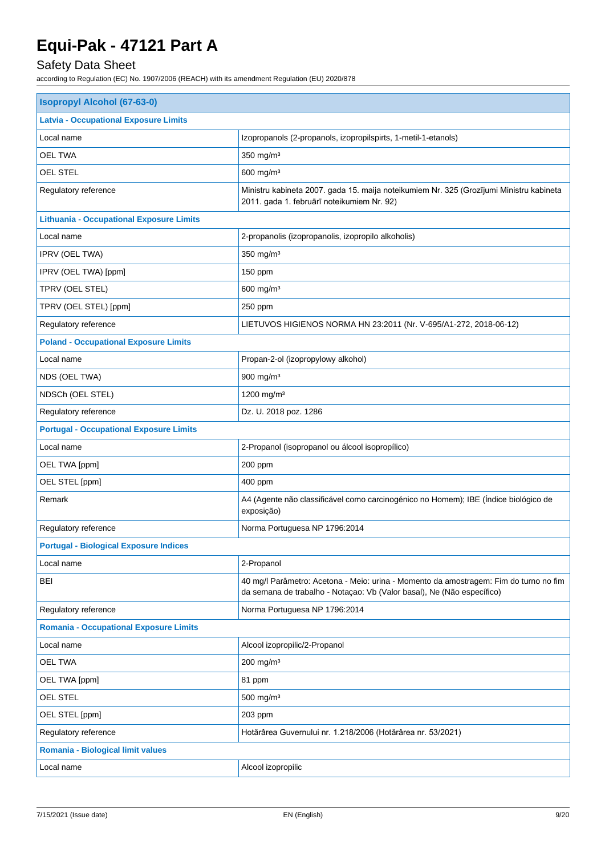## Safety Data Sheet

| <b>Isopropyl Alcohol (67-63-0)</b>                                                                                                                              |  |  |
|-----------------------------------------------------------------------------------------------------------------------------------------------------------------|--|--|
|                                                                                                                                                                 |  |  |
| Izopropanols (2-propanols, izopropilspirts, 1-metil-1-etanols)                                                                                                  |  |  |
| 350 mg/m <sup>3</sup>                                                                                                                                           |  |  |
| $600$ mg/m <sup>3</sup>                                                                                                                                         |  |  |
| Ministru kabineta 2007. gada 15. maija noteikumiem Nr. 325 (Grozījumi Ministru kabineta<br>2011. gada 1. februārī noteikumiem Nr. 92)                           |  |  |
|                                                                                                                                                                 |  |  |
| 2-propanolis (izopropanolis, izopropilo alkoholis)                                                                                                              |  |  |
| 350 mg/m <sup>3</sup>                                                                                                                                           |  |  |
| 150 ppm                                                                                                                                                         |  |  |
| 600 mg/m <sup>3</sup>                                                                                                                                           |  |  |
| 250 ppm                                                                                                                                                         |  |  |
| LIETUVOS HIGIENOS NORMA HN 23:2011 (Nr. V-695/A1-272, 2018-06-12)                                                                                               |  |  |
| <b>Poland - Occupational Exposure Limits</b>                                                                                                                    |  |  |
| Propan-2-ol (izopropylowy alkohol)                                                                                                                              |  |  |
| 900 mg/m <sup>3</sup>                                                                                                                                           |  |  |
| 1200 mg/m <sup>3</sup>                                                                                                                                          |  |  |
| Dz. U. 2018 poz. 1286                                                                                                                                           |  |  |
| <b>Portugal - Occupational Exposure Limits</b>                                                                                                                  |  |  |
| 2-Propanol (isopropanol ou álcool isopropílico)                                                                                                                 |  |  |
| 200 ppm                                                                                                                                                         |  |  |
| 400 ppm                                                                                                                                                         |  |  |
| A4 (Agente não classificável como carcinogénico no Homem); IBE (Índice biológico de<br>exposição)                                                               |  |  |
| Norma Portuguesa NP 1796:2014                                                                                                                                   |  |  |
| <b>Portugal - Biological Exposure Indices</b>                                                                                                                   |  |  |
| 2-Propanol                                                                                                                                                      |  |  |
| 40 mg/l Parâmetro: Acetona - Meio: urina - Momento da amostragem: Fim do turno no fim<br>da semana de trabalho - Notaçao: Vb (Valor basal), Ne (Não específico) |  |  |
| Norma Portuguesa NP 1796:2014                                                                                                                                   |  |  |
| <b>Romania - Occupational Exposure Limits</b>                                                                                                                   |  |  |
| Alcool izopropilic/2-Propanol                                                                                                                                   |  |  |
| $200$ mg/m <sup>3</sup>                                                                                                                                         |  |  |
| 81 ppm                                                                                                                                                          |  |  |
| $500$ mg/m <sup>3</sup>                                                                                                                                         |  |  |
| 203 ppm                                                                                                                                                         |  |  |
| Hotărârea Guvernului nr. 1.218/2006 (Hotărârea nr. 53/2021)                                                                                                     |  |  |
| Romania - Biological limit values                                                                                                                               |  |  |
| Alcool izopropilic                                                                                                                                              |  |  |
|                                                                                                                                                                 |  |  |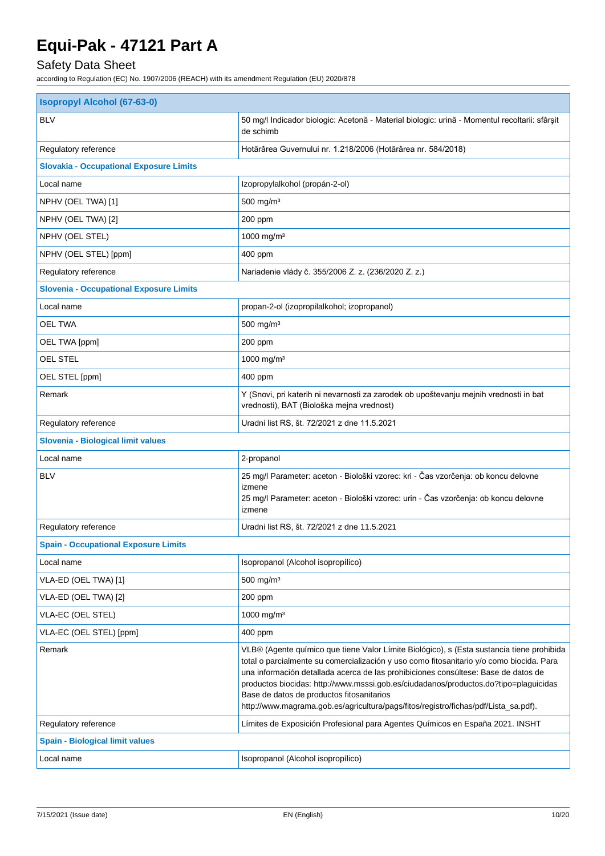## Safety Data Sheet

| <b>Isopropyl Alcohol (67-63-0)</b>             |                                                                                                                                                                                                                                                                                                                                                                                                                                                                                                         |  |
|------------------------------------------------|---------------------------------------------------------------------------------------------------------------------------------------------------------------------------------------------------------------------------------------------------------------------------------------------------------------------------------------------------------------------------------------------------------------------------------------------------------------------------------------------------------|--|
| <b>BLV</b>                                     | 50 mg/l Indicador biologic: Acetonă - Material biologic: urină - Momentul recoltarii: sfârșit<br>de schimb                                                                                                                                                                                                                                                                                                                                                                                              |  |
| Regulatory reference                           | Hotărârea Guvernului nr. 1.218/2006 (Hotărârea nr. 584/2018)                                                                                                                                                                                                                                                                                                                                                                                                                                            |  |
| <b>Slovakia - Occupational Exposure Limits</b> |                                                                                                                                                                                                                                                                                                                                                                                                                                                                                                         |  |
| Local name                                     | Izopropylalkohol (propán-2-ol)                                                                                                                                                                                                                                                                                                                                                                                                                                                                          |  |
| NPHV (OEL TWA) [1]                             | 500 mg/m <sup>3</sup>                                                                                                                                                                                                                                                                                                                                                                                                                                                                                   |  |
| NPHV (OEL TWA) [2]                             | 200 ppm                                                                                                                                                                                                                                                                                                                                                                                                                                                                                                 |  |
| NPHV (OEL STEL)                                | 1000 mg/m <sup>3</sup>                                                                                                                                                                                                                                                                                                                                                                                                                                                                                  |  |
| NPHV (OEL STEL) [ppm]                          | 400 ppm                                                                                                                                                                                                                                                                                                                                                                                                                                                                                                 |  |
| Regulatory reference                           | Nariadenie vlády č. 355/2006 Z. z. (236/2020 Z. z.)                                                                                                                                                                                                                                                                                                                                                                                                                                                     |  |
| <b>Slovenia - Occupational Exposure Limits</b> |                                                                                                                                                                                                                                                                                                                                                                                                                                                                                                         |  |
| Local name                                     | propan-2-ol (izopropilalkohol; izopropanol)                                                                                                                                                                                                                                                                                                                                                                                                                                                             |  |
| <b>OEL TWA</b>                                 | 500 mg/m <sup>3</sup>                                                                                                                                                                                                                                                                                                                                                                                                                                                                                   |  |
| OEL TWA [ppm]                                  | 200 ppm                                                                                                                                                                                                                                                                                                                                                                                                                                                                                                 |  |
| OEL STEL                                       | 1000 mg/m <sup>3</sup>                                                                                                                                                                                                                                                                                                                                                                                                                                                                                  |  |
| OEL STEL [ppm]                                 | 400 ppm                                                                                                                                                                                                                                                                                                                                                                                                                                                                                                 |  |
| Remark                                         | Y (Snovi, pri katerih ni nevarnosti za zarodek ob upoštevanju mejnih vrednosti in bat<br>vrednosti), BAT (Biološka mejna vrednost)                                                                                                                                                                                                                                                                                                                                                                      |  |
| Regulatory reference                           | Uradni list RS, št. 72/2021 z dne 11.5.2021                                                                                                                                                                                                                                                                                                                                                                                                                                                             |  |
| Slovenia - Biological limit values             |                                                                                                                                                                                                                                                                                                                                                                                                                                                                                                         |  |
| Local name                                     | 2-propanol                                                                                                                                                                                                                                                                                                                                                                                                                                                                                              |  |
| <b>BLV</b>                                     | 25 mg/l Parameter: aceton - Biološki vzorec: kri - Čas vzorčenja: ob koncu delovne<br>izmene<br>25 mg/l Parameter: aceton - Biološki vzorec: urin - Čas vzorčenja: ob koncu delovne<br>izmene                                                                                                                                                                                                                                                                                                           |  |
| Regulatory reference                           | Uradni list RS, št. 72/2021 z dne 11.5.2021                                                                                                                                                                                                                                                                                                                                                                                                                                                             |  |
| <b>Spain - Occupational Exposure Limits</b>    |                                                                                                                                                                                                                                                                                                                                                                                                                                                                                                         |  |
| Local name                                     | Isopropanol (Alcohol isopropílico)                                                                                                                                                                                                                                                                                                                                                                                                                                                                      |  |
| VLA-ED (OEL TWA) [1]                           | 500 mg/m <sup>3</sup>                                                                                                                                                                                                                                                                                                                                                                                                                                                                                   |  |
| VLA-ED (OEL TWA) [2]                           | 200 ppm                                                                                                                                                                                                                                                                                                                                                                                                                                                                                                 |  |
| <b>VLA-EC (OEL STEL)</b>                       | 1000 mg/m <sup>3</sup>                                                                                                                                                                                                                                                                                                                                                                                                                                                                                  |  |
| VLA-EC (OEL STEL) [ppm]                        | 400 ppm                                                                                                                                                                                                                                                                                                                                                                                                                                                                                                 |  |
| Remark                                         | VLB® (Agente químico que tiene Valor Límite Biológico), s (Esta sustancia tiene prohibida<br>total o parcialmente su comercialización y uso como fitosanitario y/o como biocida. Para<br>una información detallada acerca de las prohibiciones consúltese: Base de datos de<br>productos biocidas: http://www.msssi.gob.es/ciudadanos/productos.do?tipo=plaguicidas<br>Base de datos de productos fitosanitarios<br>http://www.magrama.gob.es/agricultura/pags/fitos/registro/fichas/pdf/Lista_sa.pdf). |  |
| Regulatory reference                           | Límites de Exposición Profesional para Agentes Químicos en España 2021. INSHT                                                                                                                                                                                                                                                                                                                                                                                                                           |  |
| <b>Spain - Biological limit values</b>         |                                                                                                                                                                                                                                                                                                                                                                                                                                                                                                         |  |
| Local name                                     | Isopropanol (Alcohol isopropílico)                                                                                                                                                                                                                                                                                                                                                                                                                                                                      |  |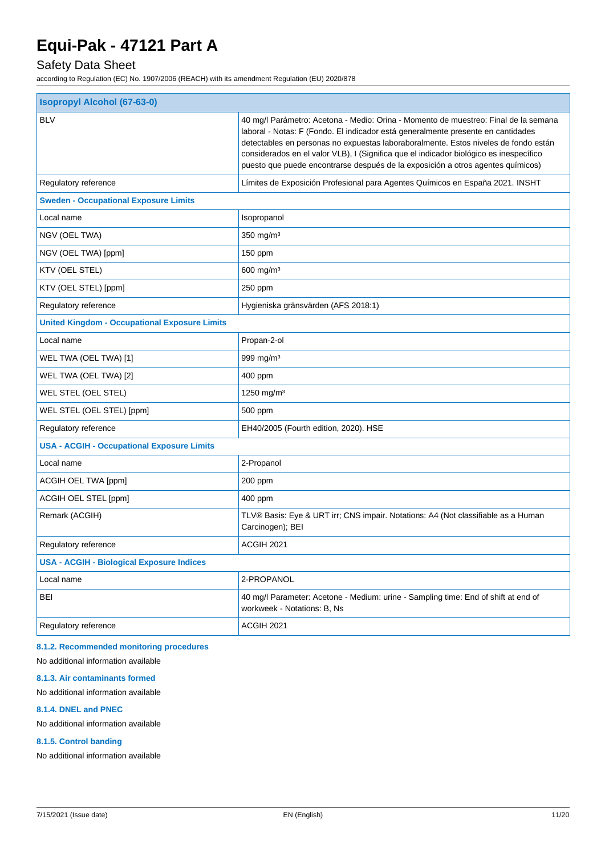## Safety Data Sheet

according to Regulation (EC) No. 1907/2006 (REACH) with its amendment Regulation (EU) 2020/878

| <b>Isopropyl Alcohol (67-63-0)</b>                   |                                                                                                                                                                                                                                                                                                                                                                                                                                             |  |
|------------------------------------------------------|---------------------------------------------------------------------------------------------------------------------------------------------------------------------------------------------------------------------------------------------------------------------------------------------------------------------------------------------------------------------------------------------------------------------------------------------|--|
| <b>BLV</b>                                           | 40 mg/l Parámetro: Acetona - Medio: Orina - Momento de muestreo: Final de la semana<br>laboral - Notas: F (Fondo. El indicador está generalmente presente en cantidades<br>detectables en personas no expuestas laboraboralmente. Estos niveles de fondo están<br>considerados en el valor VLB), I (Significa que el indicador biológico es inespecífico<br>puesto que puede encontrarse después de la exposición a otros agentes químicos) |  |
| Regulatory reference                                 | Límites de Exposición Profesional para Agentes Químicos en España 2021. INSHT                                                                                                                                                                                                                                                                                                                                                               |  |
| <b>Sweden - Occupational Exposure Limits</b>         |                                                                                                                                                                                                                                                                                                                                                                                                                                             |  |
| Local name                                           | Isopropanol                                                                                                                                                                                                                                                                                                                                                                                                                                 |  |
| NGV (OEL TWA)                                        | $350$ mg/m <sup>3</sup>                                                                                                                                                                                                                                                                                                                                                                                                                     |  |
| NGV (OEL TWA) [ppm]                                  | 150 ppm                                                                                                                                                                                                                                                                                                                                                                                                                                     |  |
| KTV (OEL STEL)                                       | $600$ mg/m <sup>3</sup>                                                                                                                                                                                                                                                                                                                                                                                                                     |  |
| KTV (OEL STEL) [ppm]                                 | 250 ppm                                                                                                                                                                                                                                                                                                                                                                                                                                     |  |
| Regulatory reference                                 | Hygieniska gränsvärden (AFS 2018:1)                                                                                                                                                                                                                                                                                                                                                                                                         |  |
| <b>United Kingdom - Occupational Exposure Limits</b> |                                                                                                                                                                                                                                                                                                                                                                                                                                             |  |
| Local name                                           | Propan-2-ol                                                                                                                                                                                                                                                                                                                                                                                                                                 |  |
| WEL TWA (OEL TWA) [1]                                | 999 mg/m <sup>3</sup>                                                                                                                                                                                                                                                                                                                                                                                                                       |  |
| WEL TWA (OEL TWA) [2]                                | 400 ppm                                                                                                                                                                                                                                                                                                                                                                                                                                     |  |
| WEL STEL (OEL STEL)                                  | 1250 mg/m <sup>3</sup>                                                                                                                                                                                                                                                                                                                                                                                                                      |  |
| WEL STEL (OEL STEL) [ppm]                            | 500 ppm                                                                                                                                                                                                                                                                                                                                                                                                                                     |  |
| Regulatory reference                                 | EH40/2005 (Fourth edition, 2020). HSE                                                                                                                                                                                                                                                                                                                                                                                                       |  |
| <b>USA - ACGIH - Occupational Exposure Limits</b>    |                                                                                                                                                                                                                                                                                                                                                                                                                                             |  |
| Local name                                           | 2-Propanol                                                                                                                                                                                                                                                                                                                                                                                                                                  |  |
| ACGIH OEL TWA [ppm]                                  | 200 ppm                                                                                                                                                                                                                                                                                                                                                                                                                                     |  |
| ACGIH OEL STEL [ppm]                                 | 400 ppm                                                                                                                                                                                                                                                                                                                                                                                                                                     |  |
| Remark (ACGIH)                                       | TLV® Basis: Eye & URT irr; CNS impair. Notations: A4 (Not classifiable as a Human<br>Carcinogen); BEI                                                                                                                                                                                                                                                                                                                                       |  |
| Regulatory reference                                 | ACGIH 2021                                                                                                                                                                                                                                                                                                                                                                                                                                  |  |
| <b>USA - ACGIH - Biological Exposure Indices</b>     |                                                                                                                                                                                                                                                                                                                                                                                                                                             |  |
| Local name                                           | 2-PROPANOL                                                                                                                                                                                                                                                                                                                                                                                                                                  |  |
| <b>BEI</b>                                           | 40 mg/l Parameter: Acetone - Medium: urine - Sampling time: End of shift at end of<br>workweek - Notations: B, Ns                                                                                                                                                                                                                                                                                                                           |  |
| Regulatory reference                                 | ACGIH 2021                                                                                                                                                                                                                                                                                                                                                                                                                                  |  |
|                                                      |                                                                                                                                                                                                                                                                                                                                                                                                                                             |  |

#### **8.1.2. Recommended monitoring procedures**

No additional information available

#### **8.1.3. Air contaminants formed**

### No additional information available

#### **8.1.4. DNEL and PNEC**

No additional information available

#### **8.1.5. Control banding**

No additional information available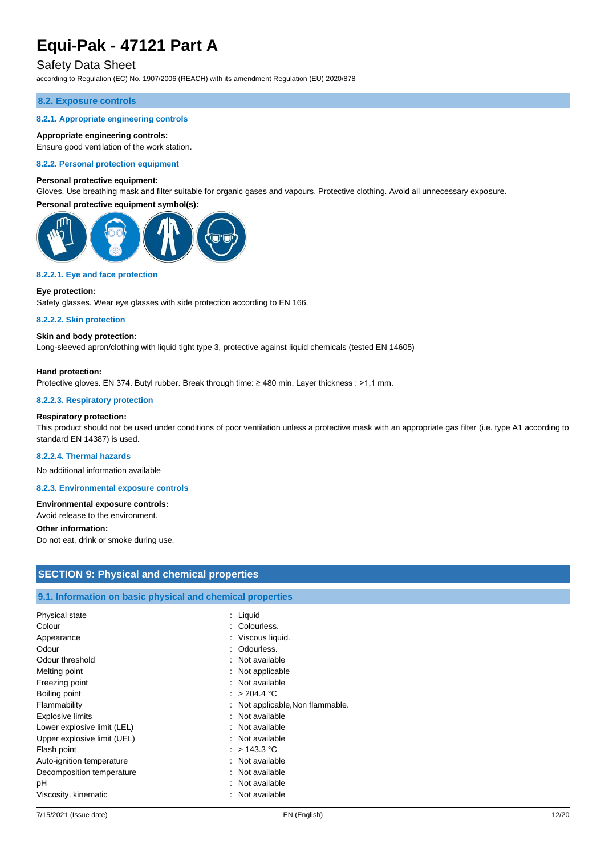### Safety Data Sheet

according to Regulation (EC) No. 1907/2006 (REACH) with its amendment Regulation (EU) 2020/878

#### **8.2. Exposure controls**

#### **8.2.1. Appropriate engineering controls**

#### **Appropriate engineering controls:**

Ensure good ventilation of the work station.

#### **8.2.2. Personal protection equipment**

#### **Personal protective equipment:**

Gloves. Use breathing mask and filter suitable for organic gases and vapours. Protective clothing. Avoid all unnecessary exposure.

#### **Personal protective equipment symbol(s):**



#### **8.2.2.1. Eye and face protection**

#### **Eye protection:**

Safety glasses. Wear eye glasses with side protection according to EN 166.

#### **8.2.2.2. Skin protection**

#### **Skin and body protection:**

Long-sleeved apron/clothing with liquid tight type 3, protective against liquid chemicals (tested EN 14605)

#### **Hand protection:**

Protective gloves. EN 374. Butyl rubber. Break through time: ≥ 480 min. Layer thickness : >1,1 mm.

#### **8.2.2.3. Respiratory protection**

#### **Respiratory protection:**

This product should not be used under conditions of poor ventilation unless a protective mask with an appropriate gas filter (i.e. type A1 according to standard EN 14387) is used.

#### **8.2.2.4. Thermal hazards**

No additional information available

**8.2.3. Environmental exposure controls**

#### **Environmental exposure controls:**

Avoid release to the environment.

#### **Other information:**

Do not eat, drink or smoke during use.

| <b>SECTION 9: Physical and chemical properties</b>         |                                  |  |
|------------------------------------------------------------|----------------------------------|--|
|                                                            |                                  |  |
| 9.1. Information on basic physical and chemical properties |                                  |  |
| Physical state                                             | : Liquid                         |  |
| Colour                                                     | : Colourless.                    |  |
| Appearance                                                 | : Viscous liquid.                |  |
| Odour                                                      | : Odourless.                     |  |
| Odour threshold                                            | : Not available                  |  |
| Melting point                                              | : Not applicable                 |  |
| Freezing point                                             | : Not available                  |  |
| Boiling point                                              | : $> 204.4 °C$                   |  |
| Flammability                                               | : Not applicable, Non flammable. |  |
| Explosive limits                                           | : Not available                  |  |
| Lower explosive limit (LEL)                                | : Not available                  |  |
| Upper explosive limit (UEL)                                | : Not available                  |  |
| Flash point                                                | : $> 143.3$ °C                   |  |
| Auto-ignition temperature                                  | : Not available                  |  |
| Decomposition temperature                                  | : Not available                  |  |
| pН                                                         | : Not available                  |  |
| Viscosity, kinematic                                       | : Not available                  |  |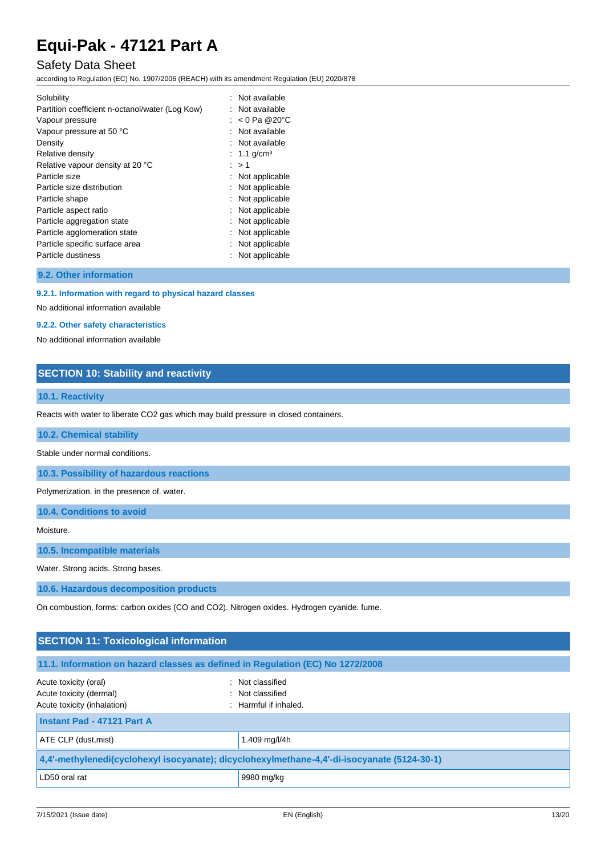### Safety Data Sheet

according to Regulation (EC) No. 1907/2006 (REACH) with its amendment Regulation (EU) 2020/878

| : Not available         |
|-------------------------|
| : Not available         |
| : $< 0$ Pa @20°C        |
| : Not available         |
| : Not available         |
| : 1.1 g/cm <sup>3</sup> |
| : > 1                   |
| Not applicable          |
| Not applicable          |
| Not applicable          |
| Not applicable          |
| Not applicable          |
| Not applicable          |
| Not applicable          |
| Not applicable          |
|                         |

**9.2. Other information**

#### **9.2.1. Information with regard to physical hazard classes**

No additional information available

#### **9.2.2. Other safety characteristics**

No additional information available

### **SECTION 10: Stability and reactivity**

### **10.1. Reactivity**

Reacts with water to liberate CO2 gas which may build pressure in closed containers.

**10.2. Chemical stability**

Stable under normal conditions.

**10.3. Possibility of hazardous reactions**

Polymerization. in the presence of. water.

**10.4. Conditions to avoid**

Moisture.

**10.5. Incompatible materials**

Water. Strong acids. Strong bases.

**10.6. Hazardous decomposition products**

On combustion, forms: carbon oxides (CO and CO2). Nitrogen oxides. Hydrogen cyanide. fume.

| <b>SECTION 11: Toxicological information</b>                                                                                                     |               |  |
|--------------------------------------------------------------------------------------------------------------------------------------------------|---------------|--|
| 11.1. Information on hazard classes as defined in Regulation (EC) No 1272/2008                                                                   |               |  |
| : Not classified<br>Acute toxicity (oral)<br>Acute toxicity (dermal)<br>: Not classified<br>Acute toxicity (inhalation)<br>: Harmful if inhaled. |               |  |
| Instant Pad - 47121 Part A                                                                                                                       |               |  |
| ATE CLP (dust, mist)                                                                                                                             | 1.409 mg/l/4h |  |
| 4,4'-methylenedi(cyclohexyl isocyanate); dicyclohexylmethane-4,4'-di-isocyanate (5124-30-1)                                                      |               |  |
| LD50 oral rat                                                                                                                                    | 9980 mg/kg    |  |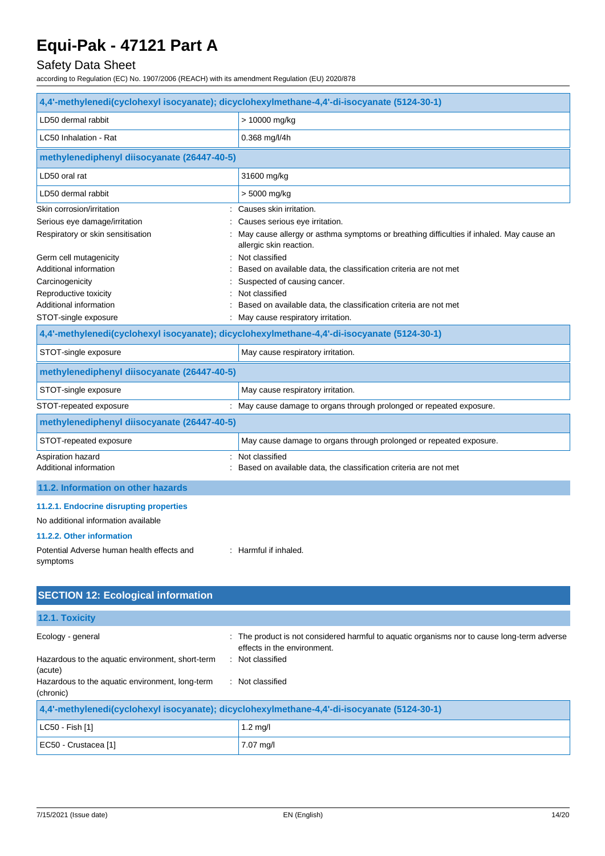## Safety Data Sheet

according to Regulation (EC) No. 1907/2006 (REACH) with its amendment Regulation (EU) 2020/878

| 4,4'-methylenedi(cyclohexyl isocyanate); dicyclohexylmethane-4,4'-di-isocyanate (5124-30-1) |                                                                                                                    |  |
|---------------------------------------------------------------------------------------------|--------------------------------------------------------------------------------------------------------------------|--|
| LD50 dermal rabbit                                                                          | > 10000 mg/kg                                                                                                      |  |
| LC50 Inhalation - Rat                                                                       | $0.368$ mg/l/4h                                                                                                    |  |
| methylenediphenyl diisocyanate (26447-40-5)                                                 |                                                                                                                    |  |
| LD50 oral rat                                                                               | 31600 mg/kg                                                                                                        |  |
| LD50 dermal rabbit                                                                          | > 5000 mg/kg                                                                                                       |  |
| Skin corrosion/irritation<br>÷                                                              | Causes skin irritation.                                                                                            |  |
| Serious eye damage/irritation                                                               | Causes serious eye irritation.                                                                                     |  |
| Respiratory or skin sensitisation                                                           | May cause allergy or asthma symptoms or breathing difficulties if inhaled. May cause an<br>allergic skin reaction. |  |
| Germ cell mutagenicity                                                                      | : Not classified                                                                                                   |  |
| Additional information                                                                      | Based on available data, the classification criteria are not met                                                   |  |
| Carcinogenicity                                                                             | Suspected of causing cancer.                                                                                       |  |
| Reproductive toxicity                                                                       | Not classified                                                                                                     |  |
| Additional information                                                                      | Based on available data, the classification criteria are not met                                                   |  |
| STOT-single exposure                                                                        | : May cause respiratory irritation.                                                                                |  |
| 4.4'-methylenedi(cyclohexyl isocyanate); dicyclohexylmethane-4.4'-di-isocyanate (5124-30-1) |                                                                                                                    |  |
| STOT-single exposure                                                                        | May cause respiratory irritation.                                                                                  |  |
| methylenediphenyl diisocyanate (26447-40-5)                                                 |                                                                                                                    |  |
| STOT-single exposure                                                                        | May cause respiratory irritation.                                                                                  |  |
| STOT-repeated exposure                                                                      | : May cause damage to organs through prolonged or repeated exposure.                                               |  |
| methylenediphenyl diisocyanate (26447-40-5)                                                 |                                                                                                                    |  |
| STOT-repeated exposure                                                                      | May cause damage to organs through prolonged or repeated exposure.                                                 |  |
| Aspiration hazard                                                                           | : Not classified                                                                                                   |  |
| Additional information                                                                      | Based on available data, the classification criteria are not met                                                   |  |
| 11.2. Information on other hazards                                                          |                                                                                                                    |  |
| 11.2.1. Endocrine disrupting properties                                                     |                                                                                                                    |  |
| No additional information available                                                         |                                                                                                                    |  |
| 11.2.2. Other information                                                                   |                                                                                                                    |  |
| Potential Adverse human health effects and<br>symptoms                                      | : Harmful if inhaled.                                                                                              |  |
| <b>SECTION 12: Ecological information</b>                                                   |                                                                                                                    |  |
|                                                                                             |                                                                                                                    |  |

| 12.1. Toxicity                                                                              |                                                                                                                            |  |
|---------------------------------------------------------------------------------------------|----------------------------------------------------------------------------------------------------------------------------|--|
| Ecology - general                                                                           | : The product is not considered harmful to aquatic organisms nor to cause long-term adverse<br>effects in the environment. |  |
| Hazardous to the aquatic environment, short-term<br>(acute)                                 | : Not classified                                                                                                           |  |
| Hazardous to the aquatic environment, long-term<br>(chronic)                                | : Not classified                                                                                                           |  |
| 4,4'-methylenedi(cyclohexyl isocyanate); dicyclohexylmethane-4,4'-di-isocyanate (5124-30-1) |                                                                                                                            |  |
| LC50 - Fish [1]                                                                             | $1.2 \text{ mq/l}$                                                                                                         |  |

| EC50 - Crustacea [1] 7.07 mg/l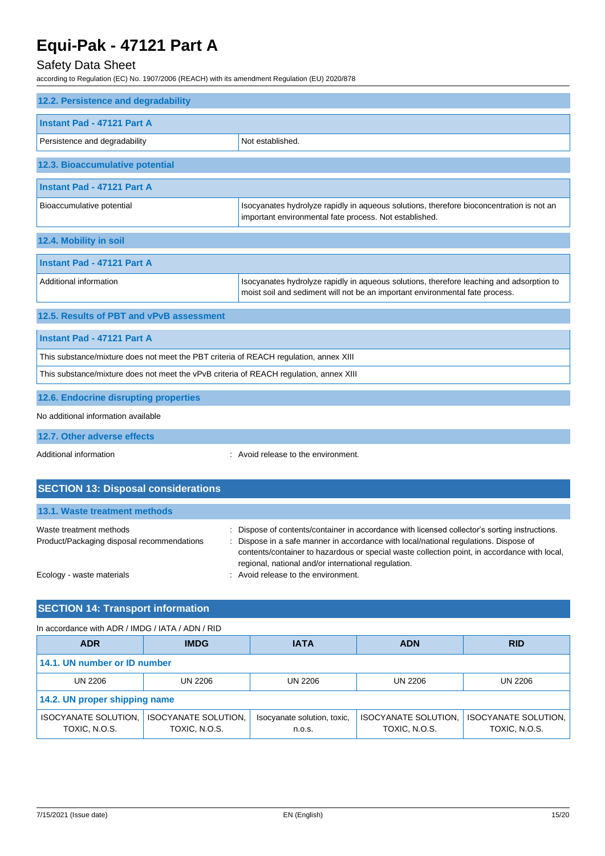### Safety Data Sheet

according to Regulation (EC) No. 1907/2006 (REACH) with its amendment Regulation (EU) 2020/878

| 12.2. Persistence and degradability                                                    |                                                                                                                                                                          |  |
|----------------------------------------------------------------------------------------|--------------------------------------------------------------------------------------------------------------------------------------------------------------------------|--|
| Instant Pad - 47121 Part A                                                             |                                                                                                                                                                          |  |
| Persistence and degradability                                                          | Not established.                                                                                                                                                         |  |
| 12.3. Bioaccumulative potential                                                        |                                                                                                                                                                          |  |
| <b>Instant Pad - 47121 Part A</b>                                                      |                                                                                                                                                                          |  |
| Bioaccumulative potential                                                              | Isocyanates hydrolyze rapidly in aqueous solutions, therefore bioconcentration is not an<br>important environmental fate process. Not established.                       |  |
| 12.4. Mobility in soil                                                                 |                                                                                                                                                                          |  |
| Instant Pad - 47121 Part A                                                             |                                                                                                                                                                          |  |
| Additional information                                                                 | Isocyanates hydrolyze rapidly in aqueous solutions, therefore leaching and adsorption to<br>moist soil and sediment will not be an important environmental fate process. |  |
| 12.5. Results of PBT and vPvB assessment                                               |                                                                                                                                                                          |  |
| Instant Pad - 47121 Part A                                                             |                                                                                                                                                                          |  |
| This substance/mixture does not meet the PBT criteria of REACH regulation, annex XIII  |                                                                                                                                                                          |  |
| This substance/mixture does not meet the vPvB criteria of REACH regulation, annex XIII |                                                                                                                                                                          |  |
| 12.6. Endocrine disrupting properties                                                  |                                                                                                                                                                          |  |
| No additional information available                                                    |                                                                                                                                                                          |  |

**12.7. Other adverse effects**

Additional information **interest in the environment** of the environment.

| <b>SECTION 13: Disposal considerations</b>                            |                                                                                                                                                                                                                                                                                                                                              |
|-----------------------------------------------------------------------|----------------------------------------------------------------------------------------------------------------------------------------------------------------------------------------------------------------------------------------------------------------------------------------------------------------------------------------------|
| 13.1. Waste treatment methods                                         |                                                                                                                                                                                                                                                                                                                                              |
| Waste treatment methods<br>Product/Packaging disposal recommendations | : Dispose of contents/container in accordance with licensed collector's sorting instructions.<br>: Dispose in a safe manner in accordance with local/national regulations. Dispose of<br>contents/container to hazardous or special waste collection point, in accordance with local,<br>regional, national and/or international regulation. |
| Ecology - waste materials                                             | : Avoid release to the environment.                                                                                                                                                                                                                                                                                                          |

### **SECTION 14: Transport information**

#### In accordance with ADR / IMDG / IATA / ADN / RID **ADR IMDG IATA ADN RID 14.1. UN number or ID number** UN 2206 UN 2206 UN 2206 UN 2206 UN 2206 **14.2. UN proper shipping name** ISOCYANATE SOLUTION, TOXIC, N.O.S. ISOCYANATE SOLUTION, TOXIC, N.O.S. Isocyanate solution, toxic, n.o.s. ISOCYANATE SOLUTION, TOXIC, N.O.S. ISOCYANATE SOLUTION, TOXIC, N.O.S.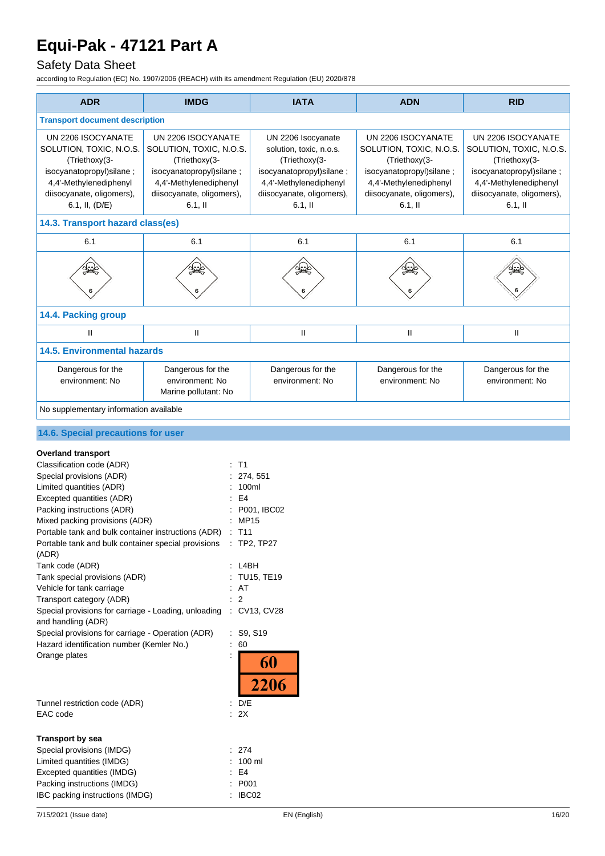## Safety Data Sheet

| <b>ADR</b>                                                                                                                                                                                                                                                                                                                                                                                                                                                                                                                                                                                                                                                      | <b>IMDG</b>                                                                                                                                                    | <b>IATA</b>                                                                                                                                                    | <b>ADN</b>                                                                                                                                                     | <b>RID</b>                                                                                                                                                     |
|-----------------------------------------------------------------------------------------------------------------------------------------------------------------------------------------------------------------------------------------------------------------------------------------------------------------------------------------------------------------------------------------------------------------------------------------------------------------------------------------------------------------------------------------------------------------------------------------------------------------------------------------------------------------|----------------------------------------------------------------------------------------------------------------------------------------------------------------|----------------------------------------------------------------------------------------------------------------------------------------------------------------|----------------------------------------------------------------------------------------------------------------------------------------------------------------|----------------------------------------------------------------------------------------------------------------------------------------------------------------|
| <b>Transport document description</b>                                                                                                                                                                                                                                                                                                                                                                                                                                                                                                                                                                                                                           |                                                                                                                                                                |                                                                                                                                                                |                                                                                                                                                                |                                                                                                                                                                |
| UN 2206 ISOCYANATE<br>SOLUTION, TOXIC, N.O.S.<br>(Triethoxy(3-<br>isocyanatopropyl) silane;<br>4,4'-Methylenediphenyl<br>diisocyanate, oligomers),<br>6.1, II, (D/E)                                                                                                                                                                                                                                                                                                                                                                                                                                                                                            | UN 2206 ISOCYANATE<br>SOLUTION, TOXIC, N.O.S.<br>(Triethoxy(3-<br>isocyanatopropyl)silane;<br>4,4'-Methylenediphenyl<br>diisocyanate, oligomers),<br>$6.1,$ II | UN 2206 Isocyanate<br>solution, toxic, n.o.s.<br>(Triethoxy(3-<br>isocyanatopropyl)silane;<br>4,4'-Methylenediphenyl<br>diisocyanate, oligomers),<br>$6.1,$ II | UN 2206 ISOCYANATE<br>SOLUTION, TOXIC, N.O.S.<br>(Triethoxy(3-<br>isocyanatopropyl)silane;<br>4,4'-Methylenediphenyl<br>diisocyanate, oligomers),<br>$6.1,$ II | UN 2206 ISOCYANATE<br>SOLUTION, TOXIC, N.O.S.<br>(Triethoxy(3-<br>isocyanatopropyl)silane;<br>4,4'-Methylenediphenyl<br>diisocyanate, oligomers),<br>$6.1,$ II |
| 14.3. Transport hazard class(es)                                                                                                                                                                                                                                                                                                                                                                                                                                                                                                                                                                                                                                |                                                                                                                                                                |                                                                                                                                                                |                                                                                                                                                                |                                                                                                                                                                |
| 6.1                                                                                                                                                                                                                                                                                                                                                                                                                                                                                                                                                                                                                                                             | 6.1                                                                                                                                                            | 6.1                                                                                                                                                            | 6.1                                                                                                                                                            | 6.1                                                                                                                                                            |
|                                                                                                                                                                                                                                                                                                                                                                                                                                                                                                                                                                                                                                                                 | $\mathbb{R}$<br>6                                                                                                                                              |                                                                                                                                                                |                                                                                                                                                                |                                                                                                                                                                |
| 14.4. Packing group                                                                                                                                                                                                                                                                                                                                                                                                                                                                                                                                                                                                                                             |                                                                                                                                                                |                                                                                                                                                                |                                                                                                                                                                |                                                                                                                                                                |
| $\mathbf{I}$                                                                                                                                                                                                                                                                                                                                                                                                                                                                                                                                                                                                                                                    | $\mathbf{II}$                                                                                                                                                  | Ш                                                                                                                                                              | $\sf II$                                                                                                                                                       | Ш                                                                                                                                                              |
| <b>14.5. Environmental hazards</b>                                                                                                                                                                                                                                                                                                                                                                                                                                                                                                                                                                                                                              |                                                                                                                                                                |                                                                                                                                                                |                                                                                                                                                                |                                                                                                                                                                |
| Dangerous for the<br>environment: No                                                                                                                                                                                                                                                                                                                                                                                                                                                                                                                                                                                                                            | Dangerous for the<br>environment: No<br>Marine pollutant: No                                                                                                   | Dangerous for the<br>environment: No                                                                                                                           | Dangerous for the<br>environment: No                                                                                                                           | Dangerous for the<br>environment: No                                                                                                                           |
| No supplementary information available                                                                                                                                                                                                                                                                                                                                                                                                                                                                                                                                                                                                                          |                                                                                                                                                                |                                                                                                                                                                |                                                                                                                                                                |                                                                                                                                                                |
| 14.6. Special precautions for user                                                                                                                                                                                                                                                                                                                                                                                                                                                                                                                                                                                                                              |                                                                                                                                                                |                                                                                                                                                                |                                                                                                                                                                |                                                                                                                                                                |
| <b>Overland transport</b><br>Classification code (ADR)<br>Special provisions (ADR)<br>Limited quantities (ADR)<br>Excepted quantities (ADR)<br>Packing instructions (ADR)<br>Mixed packing provisions (ADR)<br>Portable tank and bulk container instructions (ADR) :<br>Portable tank and bulk container special provisions<br>(ADR)<br>Tank code (ADR)<br>Tank special provisions (ADR)<br>Vehicle for tank carriage<br>Transport category (ADR)<br>Special provisions for carriage - Loading, unloading : CV13, CV28<br>and handling (ADR)<br>Special provisions for carriage - Operation (ADR)<br>Hazard identification number (Kemler No.)<br>Orange plates | : T1<br>: AT<br>$\overline{2}$<br>$\therefore 60$                                                                                                              | 274, 551<br>100ml<br>E4<br>P001, IBC02<br><b>MP15</b><br>T <sub>11</sub><br>$:$ TP2, TP27<br>: L4BH<br>: TU15, TE19<br>: S9, S19<br>60<br><b>2206</b>          |                                                                                                                                                                |                                                                                                                                                                |
| Tunnel restriction code (ADR)<br>: D/E<br>EAC code<br>$\therefore$ 2X                                                                                                                                                                                                                                                                                                                                                                                                                                                                                                                                                                                           |                                                                                                                                                                |                                                                                                                                                                |                                                                                                                                                                |                                                                                                                                                                |
| <b>Transport by sea</b><br>Special provisions (IMDG)<br>Limited quantities (IMDG)<br>Excepted quantities (IMDG)<br>Packing instructions (IMDG)<br>IBC packing instructions (IMDG)                                                                                                                                                                                                                                                                                                                                                                                                                                                                               |                                                                                                                                                                | 274<br>100 ml<br>E4<br>P001<br>IBC02                                                                                                                           |                                                                                                                                                                |                                                                                                                                                                |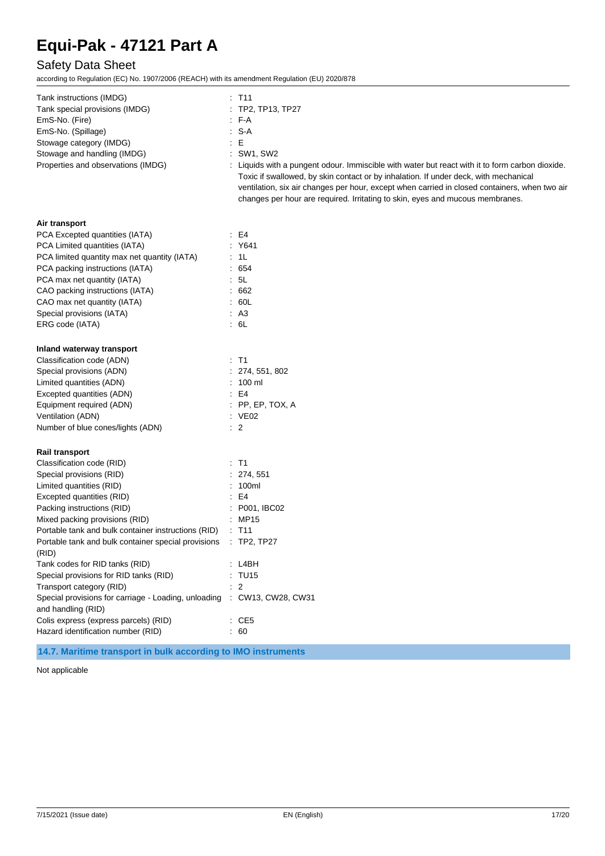## Safety Data Sheet

according to Regulation (EC) No. 1907/2006 (REACH) with its amendment Regulation (EU) 2020/878

| Tank instructions (IMDG)                                                                      | $:$ T11                                                                                                                                                                                                                                                                                                                                                                   |
|-----------------------------------------------------------------------------------------------|---------------------------------------------------------------------------------------------------------------------------------------------------------------------------------------------------------------------------------------------------------------------------------------------------------------------------------------------------------------------------|
| Tank special provisions (IMDG)                                                                | : TP2, TP13, TP27                                                                                                                                                                                                                                                                                                                                                         |
| EmS-No. (Fire)                                                                                | : FA                                                                                                                                                                                                                                                                                                                                                                      |
| EmS-No. (Spillage)                                                                            | : S-A                                                                                                                                                                                                                                                                                                                                                                     |
| Stowage category (IMDG)                                                                       | E                                                                                                                                                                                                                                                                                                                                                                         |
| Stowage and handling (IMDG)                                                                   | : SW1, SW2                                                                                                                                                                                                                                                                                                                                                                |
| Properties and observations (IMDG)                                                            | : Liquids with a pungent odour. Immiscible with water but react with it to form carbon dioxide.<br>Toxic if swallowed, by skin contact or by inhalation. If under deck, with mechanical<br>ventilation, six air changes per hour, except when carried in closed containers, when two air<br>changes per hour are required. Irritating to skin, eyes and mucous membranes. |
| Air transport                                                                                 |                                                                                                                                                                                                                                                                                                                                                                           |
| PCA Excepted quantities (IATA)                                                                | $\pm$ E4                                                                                                                                                                                                                                                                                                                                                                  |
| PCA Limited quantities (IATA)                                                                 | : Y641                                                                                                                                                                                                                                                                                                                                                                    |
| PCA limited quantity max net quantity (IATA)                                                  | : 1L                                                                                                                                                                                                                                                                                                                                                                      |
| PCA packing instructions (IATA)                                                               | : 654                                                                                                                                                                                                                                                                                                                                                                     |
| PCA max net quantity (IATA)                                                                   | : 5L                                                                                                                                                                                                                                                                                                                                                                      |
| CAO packing instructions (IATA)                                                               | .662                                                                                                                                                                                                                                                                                                                                                                      |
| CAO max net quantity (IATA)                                                                   | .60L                                                                                                                                                                                                                                                                                                                                                                      |
| Special provisions (IATA)                                                                     | AA3                                                                                                                                                                                                                                                                                                                                                                       |
| ERG code (IATA)                                                                               | : 6L                                                                                                                                                                                                                                                                                                                                                                      |
| Inland waterway transport                                                                     |                                                                                                                                                                                                                                                                                                                                                                           |
| Classification code (ADN)                                                                     | $:$ T1                                                                                                                                                                                                                                                                                                                                                                    |
| Special provisions (ADN)                                                                      | : 274, 551, 802                                                                                                                                                                                                                                                                                                                                                           |
| Limited quantities (ADN)                                                                      | $: 100$ ml                                                                                                                                                                                                                                                                                                                                                                |
| Excepted quantities (ADN)                                                                     | E4                                                                                                                                                                                                                                                                                                                                                                        |
| Equipment required (ADN)                                                                      | $:$ PP, EP, TOX, A                                                                                                                                                                                                                                                                                                                                                        |
| Ventilation (ADN)                                                                             | : VE02                                                                                                                                                                                                                                                                                                                                                                    |
| Number of blue cones/lights (ADN)                                                             | $\therefore$ 2                                                                                                                                                                                                                                                                                                                                                            |
| <b>Rail transport</b>                                                                         |                                                                                                                                                                                                                                                                                                                                                                           |
| Classification code (RID)                                                                     | $:$ T1                                                                                                                                                                                                                                                                                                                                                                    |
| Special provisions (RID)                                                                      | : 274, 551                                                                                                                                                                                                                                                                                                                                                                |
| Limited quantities (RID)                                                                      | : 100ml                                                                                                                                                                                                                                                                                                                                                                   |
| Excepted quantities (RID)                                                                     | E4                                                                                                                                                                                                                                                                                                                                                                        |
| Packing instructions (RID)                                                                    | : P001, IBC02                                                                                                                                                                                                                                                                                                                                                             |
| Mixed packing provisions (RID)                                                                | : MP15                                                                                                                                                                                                                                                                                                                                                                    |
| Portable tank and bulk container instructions (RID)                                           | : T11                                                                                                                                                                                                                                                                                                                                                                     |
| Portable tank and bulk container special provisions : TP2, TP27<br>(RID)                      |                                                                                                                                                                                                                                                                                                                                                                           |
| Tank codes for RID tanks (RID)                                                                | : LABH                                                                                                                                                                                                                                                                                                                                                                    |
| Special provisions for RID tanks (RID)                                                        | : TU15                                                                                                                                                                                                                                                                                                                                                                    |
| Transport category (RID)                                                                      | $\therefore$ 2                                                                                                                                                                                                                                                                                                                                                            |
| Special provisions for carriage - Loading, unloading : CW13, CW28, CW31<br>and handling (RID) |                                                                                                                                                                                                                                                                                                                                                                           |
| Colis express (express parcels) (RID)                                                         | $\therefore$ CE5                                                                                                                                                                                                                                                                                                                                                          |
| Hazard identification number (RID)                                                            | : 60                                                                                                                                                                                                                                                                                                                                                                      |

**14.7. Maritime transport in bulk according to IMO instruments**

Not applicable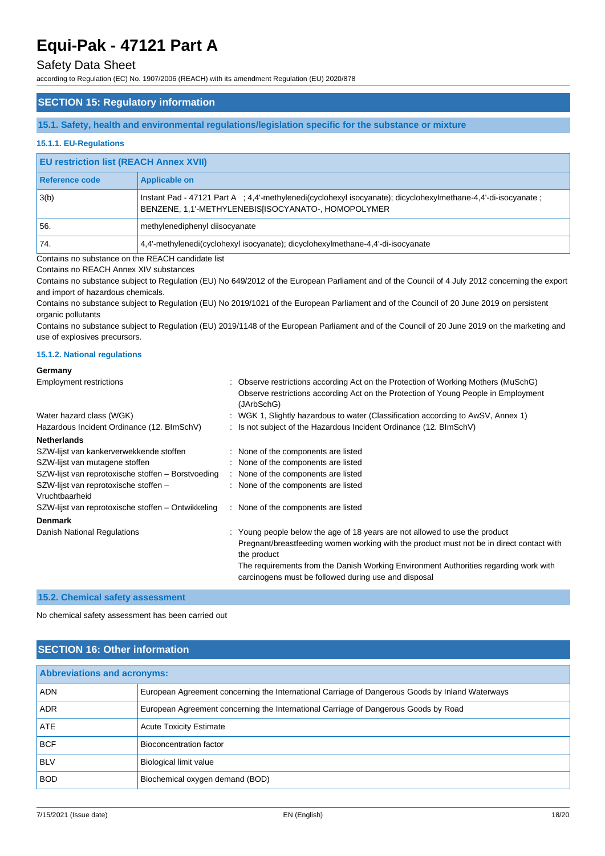### Safety Data Sheet

according to Regulation (EC) No. 1907/2006 (REACH) with its amendment Regulation (EU) 2020/878

### **SECTION 15: Regulatory information**

**15.1. Safety, health and environmental regulations/legislation specific for the substance or mixture**

### **15.1.1. EU-Regulations**

### **EU restriction list (REACH Annex XVII)**

| Reference code | <b>Applicable on</b>                                                                                                                                                |  |
|----------------|---------------------------------------------------------------------------------------------------------------------------------------------------------------------|--|
| 3(b)           | Instant Pad - 47121 Part A ; 4,4'-methylenedi(cyclohexyl isocyanate); dicyclohexylmethane-4,4'-di-isocyanate<br>BENZENE, 1,1'-METHYLENEBIS[ISOCYANATO-, HOMOPOLYMER |  |
| 56.            | methylenediphenyl diisocyanate                                                                                                                                      |  |
| '74.           | 4.4'-methylenedi(cyclohexyl isocyanate); dicyclohexylmethane-4.4'-di-isocyanate                                                                                     |  |

Contains no substance on the REACH candidate list

Contains no REACH Annex XIV substances

Contains no substance subject to Regulation (EU) No 649/2012 of the European Parliament and of the Council of 4 July 2012 concerning the export and import of hazardous chemicals.

Contains no substance subject to Regulation (EU) No 2019/1021 of the European Parliament and of the Council of 20 June 2019 on persistent organic pollutants

Contains no substance subject to Regulation (EU) 2019/1148 of the European Parliament and of the Council of 20 June 2019 on the marketing and use of explosives precursors.

#### **15.1.2. National regulations**

## **Germany**

| <b>Employment restrictions</b>                          | : Observe restrictions according Act on the Protection of Working Mothers (MuSchG)<br>Observe restrictions according Act on the Protection of Young People in Employment<br>(JArbSchG) |
|---------------------------------------------------------|----------------------------------------------------------------------------------------------------------------------------------------------------------------------------------------|
| Water hazard class (WGK)                                | : WGK 1, Slightly hazardous to water (Classification according to AwSV, Annex 1)                                                                                                       |
| Hazardous Incident Ordinance (12. BlmSchV)              | : Is not subject of the Hazardous Incident Ordinance (12. BImSchV)                                                                                                                     |
| <b>Netherlands</b>                                      |                                                                                                                                                                                        |
| SZW-lijst van kankerverwekkende stoffen                 | : None of the components are listed                                                                                                                                                    |
| SZW-lijst van mutagene stoffen                          | : None of the components are listed                                                                                                                                                    |
| SZW-lijst van reprotoxische stoffen - Borstvoeding      | : None of the components are listed                                                                                                                                                    |
| SZW-lijst van reprotoxische stoffen -<br>Vruchtbaarheid | : None of the components are listed                                                                                                                                                    |
| SZW-lijst van reprotoxische stoffen – Ontwikkeling      | : None of the components are listed                                                                                                                                                    |
| <b>Denmark</b>                                          |                                                                                                                                                                                        |
| Danish National Regulations                             | : Young people below the age of 18 years are not allowed to use the product                                                                                                            |
|                                                         | Pregnant/breastfeeding women working with the product must not be in direct contact with<br>the product                                                                                |
|                                                         | The requirements from the Danish Working Environment Authorities regarding work with<br>carcinogens must be followed during use and disposal                                           |

#### **15.2. Chemical safety assessment**

No chemical safety assessment has been carried out

### **SECTION 16: Other information**

| <b>Abbreviations and acronyms:</b> |                                                                                                 |  |
|------------------------------------|-------------------------------------------------------------------------------------------------|--|
| <b>ADN</b>                         | European Agreement concerning the International Carriage of Dangerous Goods by Inland Waterways |  |
| <b>ADR</b>                         | European Agreement concerning the International Carriage of Dangerous Goods by Road             |  |
| <b>ATE</b>                         | <b>Acute Toxicity Estimate</b>                                                                  |  |
| <b>BCF</b>                         | Bioconcentration factor                                                                         |  |
| <b>BLV</b>                         | Biological limit value                                                                          |  |
| <b>BOD</b>                         | Biochemical oxygen demand (BOD)                                                                 |  |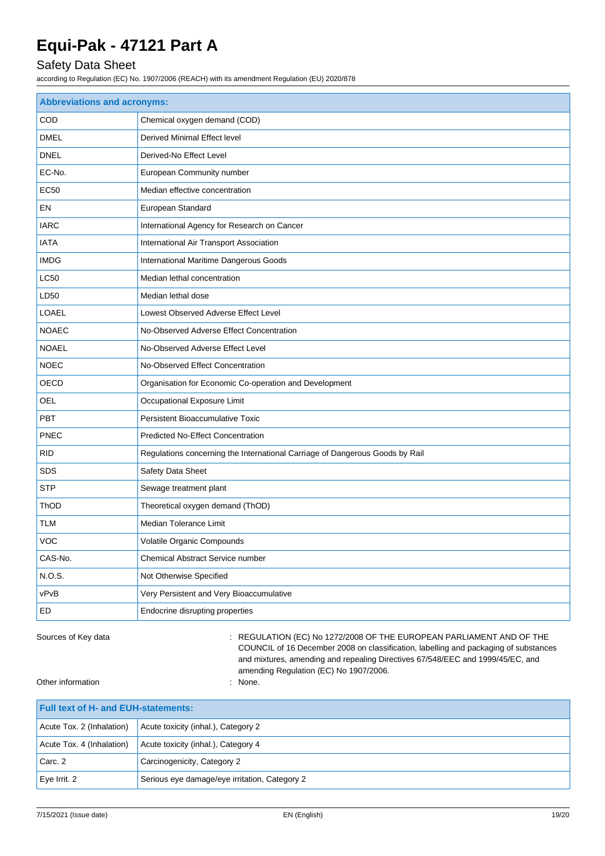## Safety Data Sheet

according to Regulation (EC) No. 1907/2006 (REACH) with its amendment Regulation (EU) 2020/878

| <b>Abbreviations and acronyms:</b> |                                                                              |  |
|------------------------------------|------------------------------------------------------------------------------|--|
| COD                                | Chemical oxygen demand (COD)                                                 |  |
| <b>DMEL</b>                        | Derived Minimal Effect level                                                 |  |
| <b>DNEL</b>                        | Derived-No Effect Level                                                      |  |
| EC-No.                             | European Community number                                                    |  |
| <b>EC50</b>                        | Median effective concentration                                               |  |
| EN                                 | European Standard                                                            |  |
| <b>IARC</b>                        | International Agency for Research on Cancer                                  |  |
| <b>IATA</b>                        | International Air Transport Association                                      |  |
| <b>IMDG</b>                        | International Maritime Dangerous Goods                                       |  |
| <b>LC50</b>                        | Median lethal concentration                                                  |  |
| LD50                               | Median lethal dose                                                           |  |
| LOAEL                              | Lowest Observed Adverse Effect Level                                         |  |
| <b>NOAEC</b>                       | No-Observed Adverse Effect Concentration                                     |  |
| <b>NOAEL</b>                       | No-Observed Adverse Effect Level                                             |  |
| <b>NOEC</b>                        | No-Observed Effect Concentration                                             |  |
| OECD                               | Organisation for Economic Co-operation and Development                       |  |
| OEL                                | Occupational Exposure Limit                                                  |  |
| PBT                                | <b>Persistent Bioaccumulative Toxic</b>                                      |  |
| PNEC                               | <b>Predicted No-Effect Concentration</b>                                     |  |
| <b>RID</b>                         | Regulations concerning the International Carriage of Dangerous Goods by Rail |  |
| <b>SDS</b>                         | Safety Data Sheet                                                            |  |
| <b>STP</b>                         | Sewage treatment plant                                                       |  |
| ThOD                               | Theoretical oxygen demand (ThOD)                                             |  |
| TLM                                | Median Tolerance Limit                                                       |  |
| <b>VOC</b>                         | Volatile Organic Compounds                                                   |  |
| CAS-No.                            | <b>Chemical Abstract Service number</b>                                      |  |
| N.O.S.                             | Not Otherwise Specified                                                      |  |
| vPvB                               | Very Persistent and Very Bioaccumulative                                     |  |
| ED                                 | Endocrine disrupting properties                                              |  |

Sources of Key data **in the state of Key data** : REGULATION (EC) No 1272/2008 OF THE EUROPEAN PARLIAMENT AND OF THE COUNCIL of 16 December 2008 on classification, labelling and packaging of substances and mixtures, amending and repealing Directives 67/548/EEC and 1999/45/EC, and amending Regulation (EC) No 1907/2006.

Other information : None.

| <b>Full text of H- and EUH-statements:</b> |                                               |  |
|--------------------------------------------|-----------------------------------------------|--|
| Acute Tox. 2 (Inhalation)                  | Acute toxicity (inhal.), Category 2           |  |
| Acute Tox. 4 (Inhalation)                  | Acute toxicity (inhal.), Category 4           |  |
| Carc. 2                                    | Carcinogenicity, Category 2                   |  |
| Eye Irrit. 2                               | Serious eye damage/eye irritation, Category 2 |  |